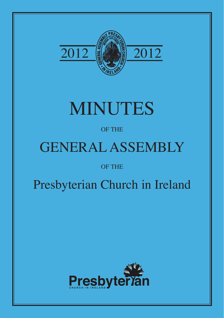

# MINUTES

# OF THE

# GENERAL ASSEMBLY

# OF THE

# Presbyterian Church in Ireland

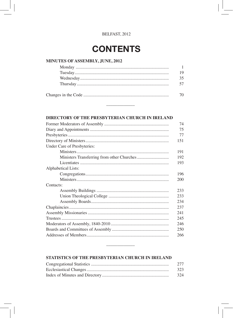# **CONTENTS**

# MINUTES OF ASSEMBLY, JUNE, 2012

| 1 Q |
|-----|
| 35. |
|     |
| 70. |

## DIRECTORY OF THE PRESBYTERIAN CHURCH IN IRELAND

|                             | 74  |
|-----------------------------|-----|
|                             | 75  |
|                             | 77  |
|                             | 151 |
| Under Care of Presbyteries: |     |
|                             | 191 |
|                             | 192 |
|                             | 193 |
| Alphabetical Lists:         |     |
|                             | 196 |
|                             | 200 |
| Contacts:                   |     |
|                             | 233 |
|                             | 233 |
|                             | 234 |
|                             | 237 |
|                             | 241 |
|                             | 245 |
|                             | 246 |
|                             | 250 |
|                             | 266 |
|                             |     |

# STATISTICS OF THE PRESBYTERIAN CHURCH IN IRELAND

| 2.77 |
|------|
| 323  |
| 324  |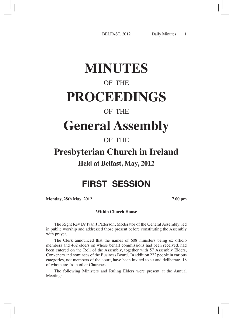# **MINUTES**

# OF THE **PROCEEDINGS**

# OF THE

# **General Assembly**

# OF THE

# **Presbyterian Church in Ireland**

# **Held at Belfast, May, 2012**

# FIRST SESSION

**Monday, 28th May, 2012 7.00 pm**

### **Within Church House**

The Right Rev Dr Ivan J Patterson, Moderator of the General Assembly, led in public worship and addressed those present before constituting the Assembly with prayer.

The Clerk announced that the names of 608 ministers being ex officio members and 462 elders on whose behalf commissions had been received, had been entered on the Roll of the Assembly, together with 57 Assembly Elders, Conveners and nominees of the Business Board. In addition 222 people in various categories, not members of the court, have been invited to sit and deliberate, 18 of whom are from other Churches.

The following Ministers and Ruling Elders were present at the Annual Meeting:-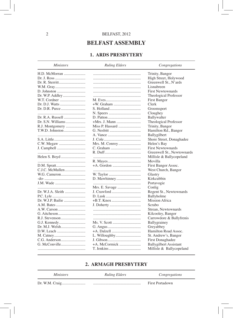# **BELFAST ASSEMBLY**

# **1. ARDS PRESBYTERY**

**Ministers** 

**Ruling Elders** 

Congregations

| H.D. McMorran                                                         |                | Trinity, Bangor               |
|-----------------------------------------------------------------------|----------------|-------------------------------|
|                                                                       |                | High Street, Holywood         |
|                                                                       |                | Greenwell St., N'ards         |
|                                                                       |                | Lisnabreen                    |
|                                                                       |                | <b>First Newtownards</b>      |
| Dr. W.P. Addley                                                       |                | Theological Professor         |
| W.T. Cordner                                                          |                | First Bangor                  |
|                                                                       |                | Clerk                         |
| $Dr. D.R. Pure … … … … … … … … … … … … … … … … … … … … … … … … … … …$ |                | Groomsport                    |
|                                                                       |                | Cloughey                      |
| Dr. R.A. Russell                                                      |                | Ballywalter                   |
|                                                                       |                | Theological Professor         |
| R.J. Montgomery                                                       |                | Trinity, Bangor               |
| T.W.D. Johnston                                                       |                | Hamilton Rd., Bangor          |
|                                                                       |                | Ballygilbert                  |
| S.A. Little                                                           |                | Shore Street, Donaghadee      |
|                                                                       | Mrs. M. Conroy | Helen's Bay                   |
|                                                                       |                | <b>First Newtownards</b>      |
|                                                                       |                | Greenwell St., Newtownards    |
|                                                                       |                | Millisle & Ballycopeland      |
|                                                                       |                | Movilla                       |
| D.M. Spratt                                                           |                | First Bangor Assoc.           |
|                                                                       |                | West Church, Bangor           |
|                                                                       |                | Glastry                       |
|                                                                       |                | Kirkcubbin                    |
| J.M. Wade                                                             |                | Portavogie                    |
|                                                                       | Mrs. E. Savage | Conlig                        |
| Dr. W.J.A. Sleith                                                     |                | Regent St., Newtownards       |
|                                                                       |                | Ballyholme                    |
|                                                                       |                | <b>Mission Africa</b>         |
| A.M. Bates                                                            |                | Scrabo                        |
| A.W. Carson                                                           |                | Strean, Newtownards           |
|                                                                       |                | Kilcooley, Bangor             |
|                                                                       |                | Carrowdore & Ballyfrenis      |
|                                                                       |                | Ballygrainey                  |
|                                                                       |                | Greyabbey                     |
|                                                                       |                | Hamilton Road Assoc.          |
|                                                                       | L. Willoughby  | St. Andrew's, Bangor          |
|                                                                       |                | First Donaghadee              |
|                                                                       |                | <b>Ballygilbert Assistant</b> |
|                                                                       |                | Millisle & Ballycopeland      |
|                                                                       |                |                               |

# 2. ARMAGH PRESBYTERY

| <i>Ministers</i> | <b>Ruling Elders</b> | Congregations   |
|------------------|----------------------|-----------------|
|                  |                      | First Portadown |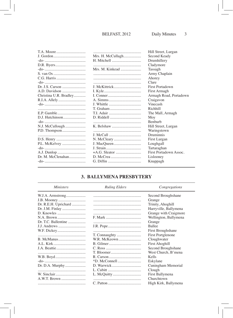|                        |                       | Hill Street, Lurgan    |
|------------------------|-----------------------|------------------------|
|                        | Mrs. H. McCullagh     | Second Keady           |
|                        |                       | Drumhillery            |
|                        |                       | Cladymore              |
|                        | Mrs. M. Kinkead       | Tassagh                |
|                        |                       | Army Chaplain          |
| C.G. Harris            |                       | Ahorey                 |
|                        |                       | Clare                  |
|                        | J. McKittrick         | First Portadown        |
|                        |                       | First Armagh           |
| Christina U.R. Bradley |                       | Armagh Road, Portadown |
|                        |                       | Craigavon              |
|                        |                       | Vinecash               |
|                        | T. Graham             | Richhill               |
|                        |                       | The Mall, Armagh       |
|                        | $D.$ Riddell $\ldots$ | Moy                    |
|                        |                       | <b>Benburb</b>         |
|                        | K. Belshaw            | Hill Street, Lurgan    |
|                        |                       | Waringstown            |
|                        |                       | Druminnis              |
|                        |                       | First Lurgan           |
|                        |                       | Loughgall              |
|                        |                       | Tartaraghan            |
|                        |                       | First Portadown Assoc. |
| Dr. M. McClenahan      |                       | Lislooney              |
|                        |                       | Knappagh               |
|                        |                       |                        |

# 3. BALLYMENA PRESBYTERY

| <i>Ministers</i>     | <b>Ruling Elders</b> | Congregations            |
|----------------------|----------------------|--------------------------|
| W.J.A. Armstrong     |                      | Second Broughshane       |
|                      |                      | Grange                   |
| Dr. R.E.H. Uprichard |                      | Trinity, Ahoghill        |
| Dr. J.M. Finlay      |                      | Harryville, Ballymena    |
|                      |                      | Grange with Craigmore    |
|                      |                      | Wellington, Ballymena    |
| Dr. T.C. Ballentine  |                      | Grange                   |
|                      |                      | <b>Ballee</b>            |
|                      |                      | First Broughshane        |
|                      | T. Connaughty        | <b>First Portglenone</b> |
|                      | W.R. McKeown         | Cloughwater              |
|                      |                      | <b>First Ahoghill</b>    |
|                      |                      | Second Broughshane       |
|                      |                      | West Church, B'mena      |
|                      |                      | Kells                    |
|                      |                      | Eskylane                 |
|                      |                      | Cuningham Memorial       |
|                      |                      | Clough                   |
|                      |                      | First Ballymena          |
|                      |                      | Churchtown               |
|                      |                      | High Kirk, Ballymena     |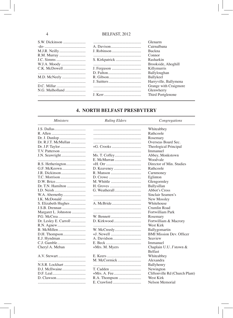|               |             | Glenarm               |
|---------------|-------------|-----------------------|
|               |             | Cairnalbana           |
| M.J.R. Neilly | J. Robinson | <b>Buckna</b>         |
| R.M. Murray   |             | Connor                |
| J.C. Simms    |             | Rasharkin             |
| W.J.A. Moody  |             | Brookside, Ahoghill   |
| C.K. McDowell |             | Killymurris           |
|               |             | Ballyloughan          |
| M.D. McNeely  |             | Ballykeel             |
|               |             | Harryville, Ballymena |
| D.C. Millar   |             | Grange with Craigmore |
|               |             | Glenwherry            |
|               |             | Third Portglenone     |
|               |             |                       |

# **4. NORTH BELFAST PRESBYTERY**

#### **Ministers**

# **Ruling Elders**

Congregations

|                       |                | Whiteabbey                      |
|-----------------------|----------------|---------------------------------|
|                       |                | Rathcoole                       |
|                       |                | Rosemary                        |
|                       |                | Overseas Board Sec.             |
|                       |                | Theological Principal           |
|                       |                | Immanuel                        |
|                       |                | Abbey, Monkstown                |
|                       |                | Woodvale                        |
|                       |                | Director of Min. Studies        |
|                       |                | Rathcoole                       |
|                       |                | Carnmoney                       |
|                       |                | Eglinton                        |
|                       | M. Whittle     | Glengormley                     |
| Dr. T.N. Hamilton     |                | Ballysillan                     |
|                       |                | Abbot's Cross                   |
|                       |                | Sinclair Seamen's               |
|                       |                | New Mossley                     |
| S. Elizabeth Hughes   |                | Whitehouse                      |
|                       |                | Crumlin Road                    |
| Margaret L. Johnston  |                | Fortwilliam Park                |
|                       |                | Rosemary                        |
| Dr. Lesley E. Carroll |                | Fortwilliam & Macrory           |
|                       |                | West Kirk                       |
|                       |                | Ballygomartin                   |
|                       |                | <b>BMI Mission Dev. Officer</b> |
| E.J. Hyndman          |                | Seaview                         |
|                       |                | Immanuel                        |
| Cheryl A. Meban       | +Mrs. M. Myers | Chaplain U.U. J'stown &         |
|                       |                | <b>Belfast</b>                  |
|                       |                | Whiteabbey                      |
|                       | M. McCormick   | Alexandra                       |
| N.S.R. Lockhart       |                | Ballyhenry                      |
| D.J. McIlwaine        |                | Newington                       |
|                       |                | Cliftonville Rd (Church Plant)  |
|                       |                | West Kirk                       |
|                       |                | Nelson Memorial                 |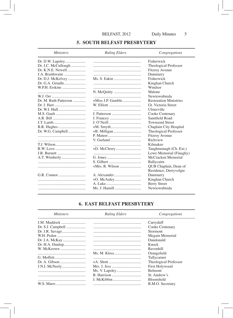#### **5. SOUTH BELFAST PRESBYTERY**

#### **Ministers Ruling Elders** Congregations Dr. D.W. Lapsley........................ Fisherwick Dr. J.C. McCullough .............. Theological Professor **Fitzroy Avenue** J.A. Braithwaite ....................... Dunmurry Dr. D.J. McKelvey .................. Fisherwick Kinghan Church W.P.H. Erskine ........................... Windsor Malone Newtownbreda Dr. M. Ruth Patterson .............  $+Miss IP$  Gamble **Restoration Ministries** Gt. Victoria Street Ulsterville Cooke Centenary Saintfield Road **Townsend Street**  $B.R. Huples$ Chaplain City Hospital Dr. W.G. Campbell.................. Theological Professor  $P. Mater.$ **Fitzrov** Avenue Richview Kilmakee  $R.W. Love$ Taughmonagh (Ch. Ext.) Lowe Memorial (Finaghy) McCracken Memorial **Ballycairn OUB** Chaplain, Dean of Residence, Derryvolgie Dunmurry Kinghan Church **Berry Street** Ms. J. Hamill .............................. Newtownbreda

#### **6. EAST BELFAST PRESBYTERY**

| <i>Ministers</i> | <b>Ruling Elders</b> | Congregations         |
|------------------|----------------------|-----------------------|
|                  |                      | Carryduff             |
|                  |                      | Cooke Centenary       |
|                  |                      | Stormont              |
|                  |                      | Megain Memorial       |
|                  |                      | Dundonald             |
|                  |                      | Knock                 |
|                  |                      | Ravenhill             |
|                  | Ms. M. Kloss         | Orangefield           |
|                  |                      | Tullycarnet           |
|                  |                      | Theological Professor |
|                  |                      | <b>First Holywood</b> |
|                  |                      | <b>Belmont</b>        |
|                  |                      | St. Andrew's          |
|                  |                      | <b>Bloomfield</b>     |
|                  |                      | B.M.O. Secretary      |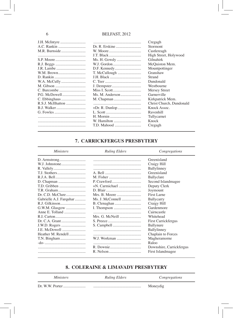|                   |              | Cregagh                  |
|-------------------|--------------|--------------------------|
|                   |              | Stormont                 |
| M.R. Burnside     |              | Castlereagh              |
|                   |              | High Street, Holywood    |
|                   | Ms. H. Gowdy | Gilnahirk                |
|                   | W.J. Gordon  | McQuiston Mem.           |
|                   |              | Mountpottinger           |
|                   |              | Granshaw                 |
|                   |              | Strand                   |
|                   |              | Dundonald                |
|                   |              | Westbourne               |
|                   |              | Mersey Street            |
| P.G. McDowell     |              | Garnerville              |
|                   |              | Kirkpatrick Mem.         |
| R.S.J. McIlhatton |              | Christ Church, Dundonald |
|                   |              | Knock Assoc.             |
|                   |              | Ravenhill                |
|                   |              | Tullycarnet              |
|                   | W. Hamilton  | Knock                    |
|                   | T.D. Mahood  | Cregagh                  |
|                   |              |                          |

# 7. CARRICKFERGUS PRESBYTERY

#### **Ministers**

**Ruling Elders** 

Congregations

|                         |              | Greenisland              |
|-------------------------|--------------|--------------------------|
|                         |              | Craigy Hill              |
|                         |              | Ballylinney              |
|                         |              | Greenisland              |
|                         |              | Ballyclare               |
|                         |              | Second Islandmagee       |
|                         |              | Deputy Clerk             |
| T.R. Graham             |              | Joymount                 |
|                         |              | First Larne              |
| Gabrielle A.J. Farquhar |              | Ballycarry               |
|                         |              | Craigy Hill              |
| G.W.M. Glasgow          |              | Gardenmore               |
| Anne E. Tolland         |              | Cairncastle              |
|                         |              | Whitehead                |
|                         |              | First Carrickfergus      |
|                         |              | Ballynure                |
|                         |              | Ballylinney              |
| Heather M. Rendell      |              | Chaplain to Forces       |
|                         | W.J. Workman | Magheramorne             |
|                         |              | Raloo                    |
|                         |              | Downshire, Carrickfergus |
|                         |              | First Islandmagee        |

# 8. COLERAINE & LIMAVADY PRESBYTERY

| <i>Ministers</i> | <b>Ruling Elders</b> | Congregations |
|------------------|----------------------|---------------|
|                  |                      | Moneydig      |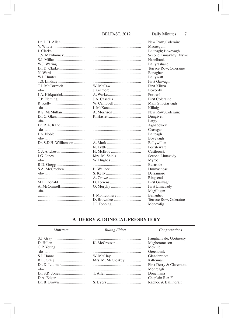|                       |          | New Row, Coleraine     |
|-----------------------|----------|------------------------|
|                       |          | Macosquin              |
|                       |          | Balteagh; Bovevagh     |
|                       |          | Second Limavady; Myroe |
|                       |          | Hazelbank              |
| W.J. Waring           |          | Ballyrashane           |
|                       |          | Terrace Row, Coleraine |
| N. Ward               |          | Banagher               |
|                       |          | <b>Ballywatt</b>       |
|                       |          | First Garvagh          |
| T.J. McCormick        | W. McCaw | First Kilrea           |
|                       |          | Boveedy                |
|                       |          | Portrush               |
|                       |          | First Coleraine        |
|                       |          | Main St., Garvagh      |
|                       |          | Killaig                |
|                       |          | New Row, Coleraine     |
|                       |          | Dungiven               |
|                       |          | Largy                  |
|                       |          | Aghadowey              |
|                       |          | Crossgar               |
|                       |          | Balteagh               |
|                       |          | Bovevagh               |
| Dr. S.D.H. Williamson |          | Ballywillan            |
|                       |          | Portstewart            |
|                       |          | Castlerock             |
|                       |          |                        |
|                       |          | Second Limavady        |
|                       |          | Myroe                  |
|                       |          | Burnside               |
|                       |          | Drumachose             |
|                       |          | Derramore              |
|                       |          | Ringsend               |
|                       |          | First Garvagh          |
|                       |          | First Limavady         |
|                       |          | Magilligan             |
|                       |          | Banagher               |
|                       |          | Terrace Row, Coleraine |
|                       |          | Moneydig               |
|                       |          |                        |

# 9. DERRY & DONEGAL PRESBYTERY

| <i>Ministers</i> | <b>Ruling Elders</b> | Congregations           |
|------------------|----------------------|-------------------------|
|                  |                      | Faughanvale; Gortnessy  |
|                  |                      | Magheramason            |
|                  |                      | Moville                 |
|                  |                      | Greenbank               |
|                  |                      | Glendermott             |
|                  | Mrs. M. McCloskey    | Kilfennan               |
|                  |                      | First Derry & Claremont |
|                  |                      | Monreagh                |
|                  |                      | Donemana                |
|                  |                      | Chaplain R.A.F.         |
| Dr. B. Brown     |                      | Raphoe & Ballindrait    |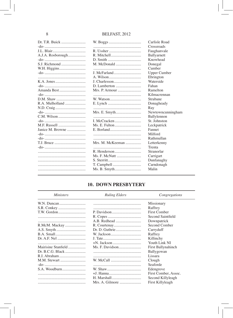| Dr. T.R. Buick     |                  | Carlisle Road       |
|--------------------|------------------|---------------------|
|                    |                  | Crossroads          |
| <b>J.I., Blair</b> |                  | Faughanvale         |
| A.J.A. Rosborough  |                  | Ballyarnett         |
|                    |                  | Knowhead            |
| S.J. Richmond      |                  | Donegal             |
|                    |                  | Cumber              |
|                    | J. McFarland     | <b>Upper Cumber</b> |
|                    |                  | Ebrington           |
|                    | J. Charlesson    | Waterside           |
|                    |                  | Fahan               |
| Amanda Best        | Mrs. P. Armour   | Ramelton            |
|                    |                  | Kilmacrennan        |
|                    | W. Watson        | Strabane            |
|                    |                  | Donagheady          |
|                    |                  | Ray                 |
|                    |                  | Newtowncunningham   |
|                    |                  | Ballylennon         |
|                    |                  | St. Johnston        |
|                    |                  | Leckpatrick         |
| Janice M. Browne   |                  | Fannet              |
|                    |                  | Milford             |
|                    |                  | Rathmullan          |
|                    | Mrs. M. McKeeman | Letterkenny         |
|                    |                  | Trenta              |
|                    |                  | Stranorlar          |
|                    | Ms. F. McNutt    | Carrigart           |
|                    |                  | Dunfanaghy          |
|                    |                  | Carndonagh          |
|                    |                  | Malin               |
|                    |                  |                     |

# **10. DOWN PRESBYTERY**

| <i>Ministers</i>    | <b>Ruling Elders</b>                                  | Congregations        |
|---------------------|-------------------------------------------------------|----------------------|
|                     |                                                       | Missionary           |
|                     |                                                       | Raffrey              |
|                     |                                                       | First Comber         |
|                     |                                                       | Second Saintfield    |
|                     |                                                       | Downpatrick          |
| R.McM. Mackay       |                                                       | Second Comber        |
|                     |                                                       | Carryduff            |
|                     |                                                       | Raffrey              |
|                     |                                                       | Killinchy            |
|                     |                                                       | Youth Link NI        |
| Mairisine Stanfield |                                                       | First Ballynahinch   |
|                     |                                                       | Ballygowan           |
|                     |                                                       | Lissara              |
| M.M. Stewart        |                                                       | Clough               |
|                     |                                                       | Seaforde             |
|                     |                                                       | Edengrove            |
|                     |                                                       | First Comber, Assoc. |
|                     | H. Marshall                                           | Second Killyleagh    |
|                     | $Mrs. A. Gilmore … … … … … … … … … … … … … … … … … …$ | First Killyleagh     |

# 8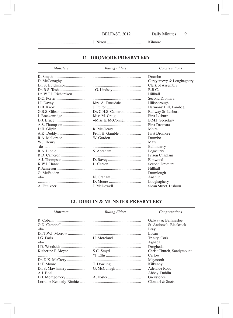Kilmore

# 11. DROMORE PRESBYTERY

| <i>Ministers</i>      | <b>Ruling Elders</b> | Congregations             |
|-----------------------|----------------------|---------------------------|
|                       |                      | Drumbo                    |
| D. McConaghy          |                      | Cargycreevy & Loughaghery |
|                       |                      | Clerk of Assembly         |
|                       |                      | B.B.C.                    |
| Dr. W.T.J. Richardson |                      | Hillhall                  |
|                       |                      | Second Dromara            |
|                       | Mrs. A. Truesdale    | Hillsborough              |
|                       |                      | Harmony Hill, Lambeg      |
|                       |                      | Railway St. Lisburn       |
|                       | Miss M. Craig        | First Lisburn             |
|                       | +Miss E. McConnell   | <b>B.M.I.</b> Secretary   |
|                       |                      | <b>First Dromara</b>      |
|                       |                      | Moira                     |
| A.K. Duddy            |                      | <b>First Dromore</b>      |
|                       | W. Gordon            | Drumbo                    |
|                       |                      | Maze                      |
|                       |                      | Ballinderry               |
|                       |                      | Legacurry                 |
|                       |                      | Prison Chaplain           |
|                       |                      | Elmwood                   |
|                       |                      | Second Dromara            |
|                       |                      | Hillhall                  |
|                       |                      | Drumlough                 |
|                       |                      | Anahilt                   |
|                       |                      | Loughaghery               |
|                       | J. McDowell          | Sloan Street, Lisburn     |

# 12. DUBLIN & MUNSTER PRESBYTERY

| <b>Ruling Elders</b> | Congregations             |
|----------------------|---------------------------|
|                      | Galway & Ballinasloe      |
|                      | St. Andrew's, Blackrock   |
|                      | <b>Bray</b>               |
|                      | Lucan                     |
|                      | Trinity, Cork             |
|                      | Aghada                    |
|                      | Drogheda                  |
|                      | Christ Church, Sandymount |
|                      | Carlow                    |
|                      | Maynooth                  |
|                      | Kilkenny                  |
|                      | Adelaide Road             |
|                      | Abbey, Dublin             |
|                      | Greystones                |
|                      | Clontarf & Scots          |
|                      | G. McCullagh              |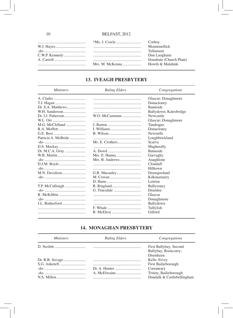|  | Corboy                  |
|--|-------------------------|
|  | Mountmellick            |
|  | Tullamore               |
|  | Dun Laoghaire           |
|  | Donabate (Church Plant) |
|  | Howth & Malahide        |
|  |                         |

# **13. IVEAGH PRESBYTERY**

| <i>Ministers</i>    | <b>Ruling Elders</b> | Congregations          |
|---------------------|----------------------|------------------------|
|                     |                      | Glascar; Donaghmore    |
|                     |                      | Donacloney             |
|                     |                      | Bannside               |
|                     |                      | Ballydown; Katesbridge |
|                     | W.O. McCammon        | Newcastle              |
|                     |                      | Glascar; Donaghmore    |
| M.G. McClelland     |                      | Tandragee              |
|                     |                      | Donacloney             |
|                     |                      | <b>Newmills</b>        |
| Patricia A. McBride |                      | Loughbrickland         |
|                     |                      | Scarva                 |
|                     |                      | Magherally             |
| Dr. M.C.A. Gray     |                      | <b>Bannside</b>        |
|                     |                      | Garvaghy               |
|                     |                      | Anaghlone              |
|                     |                      | Clonduff               |
|                     |                      | Hilltown               |
|                     |                      | Drumgooland            |
|                     | M. Cowan             | Kilkinamurry           |
|                     |                      | Leitrim                |
|                     |                      | Ballyroney             |
|                     |                      | Drumlee                |
|                     |                      | Glascar                |
|                     |                      | Donaghmore             |
| J.I Rutherford      |                      | Ballydown              |
|                     |                      | Tullylish              |
|                     |                      | Gilford                |

# **14. MONAGHAN PRESBYTERY**

| <i>Ministers</i> | <b>Ruling Elders</b> | Congregations              |
|------------------|----------------------|----------------------------|
|                  |                      | First Ballybay; Second     |
|                  |                      | Ballybay; Rockcorry;       |
|                  |                      | Drumkeen                   |
|                  |                      | Kells; Ervey               |
|                  |                      | First Bailieborough        |
|                  |                      | Corraneary                 |
|                  |                      | Trinity, Bailieborough     |
|                  |                      | Dundalk & Castlebellingham |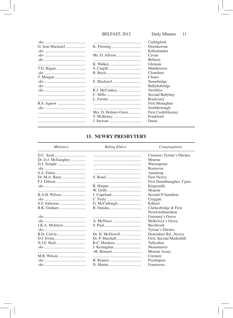|                  |                         | Carlingford                |
|------------------|-------------------------|----------------------------|
| G. Jean Mackarel |                         | Drumkeeran                 |
|                  |                         | Killeshandra               |
|                  |                         | Cavan                      |
|                  |                         | <b>Bellasis</b>            |
|                  |                         | Glennan                    |
|                  |                         | Middletown                 |
|                  |                         | Clontibret                 |
|                  |                         | Clones                     |
|                  |                         | Stonebridge                |
|                  |                         | Ballyhobridge              |
|                  |                         | <b>Newbliss</b>            |
|                  |                         | Second Ballybay            |
|                  |                         | Rockcorry                  |
|                  |                         | First Monaghan             |
|                  |                         | Smithborough               |
|                  | $Mrs$ , D. Holmes-Greer | <b>First Castleblayney</b> |
|                  |                         | Frankford                  |
|                  | J. Stewart              | Drum                       |
|                  |                         |                            |

# 15. NEWRY PRESBYTERY

| <b>Ministers</b>   | <b>Ruling Elders</b> | Congregations              |
|--------------------|----------------------|----------------------------|
|                    |                      | Cremore; Tyrone's Ditches  |
| Dr. D.J. McGaughey |                      | Mourne                     |
|                    |                      | Warrenpoint                |
|                    |                      | Rostrevor                  |
|                    |                      | Annalong                   |
| Dr. M.A. Barry     |                      | <b>First Newry</b>         |
|                    |                      | First Drumbanagher; J'pass |
|                    |                      | Kingsmills                 |
|                    |                      | Mourne                     |
|                    |                      | Second N'hamilton          |
|                    |                      | Creggan                    |
|                    | G. McCullough        | Kilkeel                    |
|                    |                      | Clarkesbridge & First      |
|                    |                      | Newtownhamilton            |
|                    |                      | Garmany's Grove            |
|                    |                      | McKelvey's Grove           |
|                    |                      | <b>Bessbrook</b>           |
|                    |                      | Tyrone's Ditches           |
|                    | Dr. H. McDowell      | Downshire Rd., Newry       |
|                    |                      | First, Second Markethill   |
|                    |                      | Tullyallen                 |
|                    |                      | Mountnorris                |
|                    |                      | Mourne Assoc.              |
|                    |                      | Cremore                    |
|                    |                      | Poyntzpass                 |
|                    |                      | <b>Fourtowns</b>           |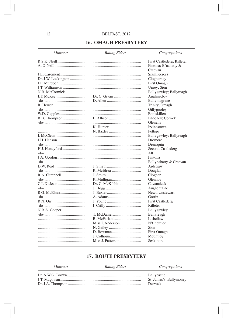# **16. OMAGH PRESBYTERY**

## **Ruling Elders**

### $Congregations$

| R.S.K. Neill        |                   | First Castlederg; Killeter |
|---------------------|-------------------|----------------------------|
| A. O'Neill          |                   | Fintona; B'nahatty &       |
|                     |                   | Creevan                    |
| J.L. Casement       |                   | Sixmilecross               |
| Dr. J.W. Lockington |                   | Clogherney                 |
| J.F. Murdoch        |                   | First Omagh                |
| J.T. Williamson     |                   | Urney; Sion                |
| N.R. McCormick      |                   | Ballygawley; Ballyreagh    |
| I.T. McKee          |                   | Aughnacloy                 |
|                     |                   | Ballymagrane               |
|                     |                   | Trinity, Omagh             |
|                     |                   | Gillygooley                |
|                     |                   | Enniskillen                |
|                     |                   | Badoney; Corrick           |
|                     |                   | Glenelly                   |
|                     | K. Hunter         | Irvinestown                |
|                     |                   | Pettigo                    |
| I. McClean          |                   | Ballygawley; Ballyreagh    |
| J.H. Hanson         |                   | Dromore                    |
|                     |                   | Drumquin                   |
|                     |                   | Second Castlederg          |
|                     |                   | Alt                        |
| J.A. Gordon         |                   | Fintona                    |
|                     |                   | Ballynahatty & Creevan     |
|                     |                   | Ardstraw                   |
|                     |                   | Douglas                    |
|                     |                   | Clogher                    |
|                     |                   | Glenhoy                    |
| C.I. Dickson        |                   | Cavanaleck                 |
|                     |                   | Aughentaine                |
| R.G. McElnea        |                   | Newtownstewart             |
|                     | A. Adams          | Gortin                     |
|                     |                   | First Castlederg           |
|                     |                   | Killeter                   |
|                     |                   | Ballygawley                |
|                     |                   | Ballyreagh                 |
|                     |                   | Lisbellaw                  |
|                     | Miss I. Anderson  | N't'nbutter                |
|                     |                   | Sion                       |
|                     |                   | First Omagh                |
|                     | J. Colhoun        | Mountjoy                   |
|                     | Miss J. Patterson | Seskinore                  |
|                     |                   |                            |
|                     |                   |                            |

# **17. ROUTE PRESBYTERY**

| <i>Ministers</i> | <b>Ruling Elders</b> | Congregations                                     |
|------------------|----------------------|---------------------------------------------------|
|                  |                      | Ballycastle<br>St. James's, Ballymoney<br>Dervock |

**Ministers**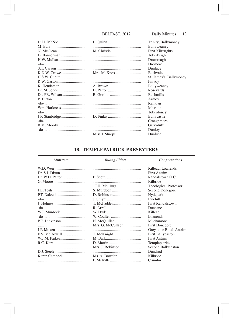|  | Trinity, Ballymoney     |
|--|-------------------------|
|  | Ballyweaney             |
|  | <b>First Kilraughts</b> |
|  | Toberkeigh              |
|  | Drumreagh               |
|  | Dromore                 |
|  | Dunluce                 |
|  | <b>Bushvale</b>         |
|  | St. James's, Ballymoney |
|  | Finvoy                  |
|  | Ballyweaney             |
|  | Roseyards               |
|  | <b>Bushmills</b>        |
|  | Armoy                   |
|  | Ramoan                  |
|  | Mosside                 |
|  | Toberdoney              |
|  | Ballycastle             |
|  | Croaghmore              |
|  | Garryduff               |
|  | Dunloy                  |
|  | Dunluce                 |

# **18. TEMPLEPATRICK PRESBYTERY**

| <i>Ministers</i> | <b>Ruling Elders</b> | Congregations            |
|------------------|----------------------|--------------------------|
|                  |                      | Killead; Loanends        |
|                  |                      | <b>First Antrim</b>      |
|                  |                      | Randalstown O.C.         |
|                  |                      | Kilbride                 |
|                  |                      | Theological Professor    |
|                  | S. Murdoch           | Second Donegore          |
| P.T. Dalzell     |                      | Hydepark                 |
|                  |                      | Lylehill                 |
|                  | T. McFadden          | <b>First Randalstown</b> |
|                  |                      | Duneane                  |
| W.J. Murdock     |                      | Killead                  |
|                  |                      | Loanends                 |
|                  |                      | Muckamore                |
|                  | Mrs. G. McCullagh    | First Donegore           |
|                  |                      | Greystone Road, Antrim   |
|                  |                      | <b>First Ballyeaston</b> |
|                  |                      | <b>First Antrim</b>      |
|                  |                      | Templepatrick            |
|                  | Mrs. J. Robinson     | Second Ballyeaston       |
|                  |                      | Dundrod                  |
|                  |                      | Kilbride                 |
|                  |                      | Crumlin                  |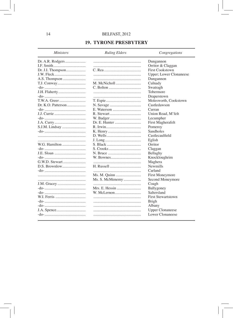# **19. TYRONE PRESBYTERY**

#### **Ministers**

## **Ruling Elders**

# Congregations

|                   |                 | Dungannon                 |
|-------------------|-----------------|---------------------------|
|                   |                 | Orritor & Claggan         |
| Dr. J.I. Thompson |                 | <b>First Cookstown</b>    |
| J.W. Fleck        |                 | Upper; Lower Clonaneese   |
|                   |                 | Dungannon                 |
|                   | M. McNicholl    | Culnady                   |
|                   |                 | Swatragh                  |
|                   |                 | Tobermore                 |
|                   |                 | Draperstown               |
|                   |                 | Molesworth, Cookstown     |
|                   |                 | Castledawson              |
|                   |                 | Curran                    |
|                   |                 | Union Road, M'felt        |
|                   |                 | Lecumpher                 |
|                   | Dr. E. Hunter   | First Magherafelt         |
|                   |                 | Pomeroy                   |
|                   |                 | <b>Sandholes</b>          |
|                   |                 | Castlecaulfield           |
|                   |                 | Eglish                    |
| W.G. Hamilton     |                 | Orritor                   |
|                   |                 | Claggan                   |
|                   |                 | Bellaghy                  |
|                   |                 | Knockloughrim             |
|                   |                 | Maghera                   |
|                   |                 | <b>Newmills</b>           |
|                   |                 | Carland                   |
|                   |                 | First Moneymore           |
|                   | Ms. S. McMenemy | Second Moneymore          |
|                   |                 | Coagh                     |
|                   | Mrs. E. Hessin  | Ballygoney                |
|                   |                 | Saltersland               |
| W.I. Ferris       |                 | <b>First Stewartstown</b> |
|                   |                 | Brigh                     |
|                   |                 | Albany                    |
|                   |                 | <b>Upper Clonaneese</b>   |
|                   |                 | Lower Clonaneese          |
|                   |                 |                           |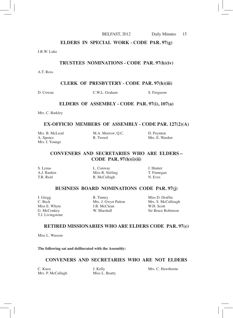#### **ELDERS IN SPECIAL WORK - CODE PAR. 97(g)**

J.R.W. Luke

#### **TRUSTEES NOMINATIONS - CODE PAR. 97(h)(iv)**

A.T. Ross

**CLERK OF PRESBYTERY - CODE PAR. 97(h)(iii)**

D. Cowan C.W.L. Graham S. Ferguson

#### **ELDERS OF ASSEMBLY - CODE PAR. 97(i), 107(a)**

Mrs. C. Barkley

#### **EX-OFFICIO MEMBERS OF ASSEMBLY - CODE PAR. 127(2)(A)**

| Mrs. B. McLeod | M.A. Morrow, Q.C. | D. Poynton     |
|----------------|-------------------|----------------|
| A. Spence      | R. Tweed          | Mrs. E. Warden |
| Mrs. I. Younge |                   |                |

## **CONVENERS AND SECRETARIES WHO ARE ELDERS – CODE PAR. 97(h)(i)(ii)**

S. Lynas L. Conway L. Conway J. Hunter A.J. Rankin Miss R. Stirling T. Finnegan<br>T.R. Reid R. McCullaeh N. Eves R. McCullagh

#### **BUSINESS BOARD NOMINATIONS CODE PAR. 97(j)**

T.J. Livingstone 

Mrs. J. Gwyn Patton Mrs. S. McClean WH Scott Miss E. Whyte **I.B. McClean**<br> **G. McConkey W. Marshall** 

J. Gregg R. Tinney Miss D. Draffin Sir Bruce Robinson

### **RETIRED MISSIONARIES WHO ARE ELDERS CODE PAR. 97(c)**

Miss L. Wasson

**The following sat and deliberated with the Assembly:**

#### **CONVENERS AND SECRETARIES WHO ARE NOT ELDERS**

C. Knox **J.** Kelly **Mrs. C. Hawthorne**<br>
Mrs. P. McCullagh **Miss L. Beatty** Miss Alexander Mrs. P. McCullagh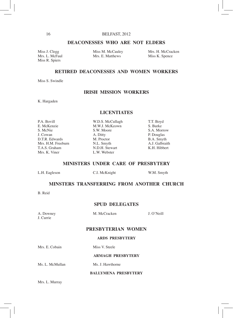## **DEACONESSES WHO ARE NOT ELDERS**

Miss R. Spiers

Mrs. L. McFaul Mrs. E. Matthews Miss K. Spence

Miss J. Clegg Miss M. McCauley Mrs. H. McCracken

#### **RETIRED DEACONESSES AND WOMEN WORKERS**

Miss S. Swindle

### **IRISH MISSION WORKERS**

K. Hargaden

#### **LICENTIATES**

P.A. Bovill **W.D.S. McCullagh** T.T. Boyd<br>
E. McKenzie M.W.J. McKeown S. Burke E. McKenzie M.W.J. McKeown S. Burke S. McNie S.W. Moore<br>
J. Cowan A. Ditty J. Cowan A. Ditty P. Douglas D.T.R. Edwards M. Proctor B.A. Smyth Mrs. H.M. Freeburn N.L. Smyth A.J. Galbraith T.A.S. Graham N.D.H. Stewart K.H. Hibbert

L.W. Webster

#### **MINISTERS UNDER CARE OF PRESBYTERY**

L.H. Eagleson **C.I.** McKnight **W.M.** Smyth

# **MINSTERS TRANSFERRING FROM ANOTHER CHURCH**

B. Reid

#### **SPUD DELEGATES**

J. Currie

A. Downey M. McCracken J. O'Neill

#### **PRESBYTERIAN WOMEN**

#### **ARDS PRESBYTERY**

Mrs. E. Cobain Miss V. Steele

#### **ARMAGH PRESBYTERY**

Ms. L. McMullan Ms. J. Hawthorne

# **BALLYMENA PRESBYTERY**

Mrs. L. Murray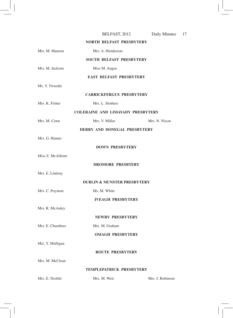|                    | BELFAST, 2012                            | Daily Minutes    | 17 |
|--------------------|------------------------------------------|------------------|----|
|                    | <b>NORTH BELFAST PRESBYTERY</b>          |                  |    |
| Mrs. M. Manson     | Mrs. A. Henderson                        |                  |    |
|                    | <b>SOUTH BELFAST PRESBYTERY</b>          |                  |    |
| Mrs. M. Jackson    | Miss M. Angus                            |                  |    |
|                    | <b>EAST BELFAST PRESBYTERY</b>           |                  |    |
| Ms. V. Tweedie     |                                          |                  |    |
|                    | <b>CARRICKFERGUS PRESBYTERY</b>          |                  |    |
| Mrs. K. Fisher     | Mrs. L. Stothers                         |                  |    |
|                    | <b>COLERAINE AND LIMAVADY PRESBYTERY</b> |                  |    |
| Mrs. M. Conn       | Mrs. V. Millar                           | Mrs. N. Nixon    |    |
|                    | DERRY AND DONEGAL PRESBYTERY             |                  |    |
| Mrs. G. Hunter     |                                          |                  |    |
|                    | <b>DOWN PRESBYTERY</b>                   |                  |    |
| Miss Z. McAllister |                                          |                  |    |
|                    | <b>DROMORE PRESBTERY</b>                 |                  |    |
| Mrs. E. Lindsay    |                                          |                  |    |
|                    | <b>DUBLIN &amp; MUNSTER PRESBYTERY</b>   |                  |    |
| Mrs. C. Poynton    | Ms. M. White                             |                  |    |
|                    | <b>IVEAGH PRESBYTERY</b>                 |                  |    |
| Mrs. R. McAuley    |                                          |                  |    |
|                    | <b>NEWRY PRESBYTERY</b>                  |                  |    |
| Mrs. E. Chambers   | Mrs. M. Graham                           |                  |    |
|                    | <b>OMAGH PRESBYTERY</b>                  |                  |    |
| Mrs. Y. Mulligan   |                                          |                  |    |
|                    | <b>ROUTE PRESBYTERY</b>                  |                  |    |
| Mrs. M. McClean    |                                          |                  |    |
|                    | TEMPLEPATRICK PRESBYTERY                 |                  |    |
| Mrs. E. Nesbitt    | Mrs. M. Weir                             | Mrs. J. Robinson |    |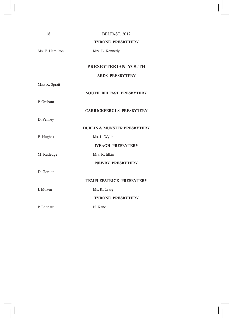| 18              | BELFAST, 2012                          |  |
|-----------------|----------------------------------------|--|
|                 | <b>TYRONE PRESBYTERY</b>               |  |
| Ms. E. Hamilton | Mrs. B. Kennedy                        |  |
|                 |                                        |  |
|                 | PRESBYTERIAN YOUTH                     |  |
|                 | <b>ARDS PRESBYTERY</b>                 |  |
| Miss R. Spratt  |                                        |  |
|                 | <b>SOUTH BELFAST PRESBYTERY</b>        |  |
| P. Graham       |                                        |  |
|                 | <b>CARRICKFERGUS PRESBYTERY</b>        |  |
| D. Penney       |                                        |  |
|                 | <b>DUBLIN &amp; MUNSTER PRESBYTERY</b> |  |
| E. Hughes       | Ms. L. Wylie                           |  |
|                 | <b>IVEAGH PRESBYTERY</b>               |  |
| M. Rutledge     | Mrs. R. Elkin                          |  |
|                 | <b>NEWRY PRESBYTERY</b>                |  |
| D. Gordon       |                                        |  |
|                 | TEMPLEPATRICK PRESBYTERY               |  |
| I. Moxen        | Ms. K. Craig                           |  |
|                 | <b>TYRONE PRESBYTERY</b>               |  |
| P. Leonard      | N. Kane                                |  |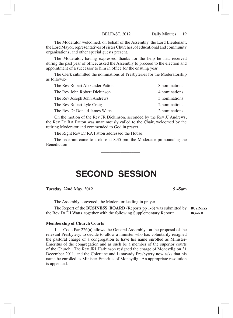The Moderator welcomed, on behalf of the Assembly, the Lord Lieutenant, the Lord Mayor, representatives of sister Churches, of educational and community organisations, and other special guests present.

The Moderator, having expressed thanks for the help he had received during the past year of office, asked the Assembly to proceed to the election and appointment of a successor to him in office for the ensuing year.

The Clerk submitted the nominations of Presbyteries for the Moderatorship as follows:-

| The Rev Robert Alexander Patton | 8 nominations |
|---------------------------------|---------------|
| The Rev John Robert Dickinson   | 4 nominations |
| The Rev Joseph John Andrews     | 3 nominations |
| The Rev Robert Lyle Craig       | 2 nominations |
| The Rev Dr Donald James Watts   | 2 nominations |

On the motion of the Rev JR Dickinson, seconded by the Rev JJ Andrews, the Rev Dr RA Patton was unanimously called to the Chair, welcomed by the retiring Moderator and commended to God in prayer.

The Right Rev Dr RA Patton addressed the House.

The sederunt came to a close at 8.35 pm, the Moderator pronouncing the Benediction.

\_\_\_\_\_\_\_\_\_\_\_\_\_\_\_\_\_\_

# SECOND SESSION

#### **Tuesday, 22nd May, 2012 9.45am**

The Assembly convened, the Moderator leading in prayer.

The Report of the **BUSINESS BOARD** (Reports pp 1-6) was submitted by **BUSINESS** the Rev Dr DJ Watts, together with the following Supplementary Report:

#### **Membership of Church Courts**

1. Code Par 226(a) allows the General Assembly, on the proposal of the relevant Presbytery, to decide to allow a minister who has voluntarily resigned the pastoral charge of a congregation to have his name enrolled as Minister-Emeritus of the congregation and as such be a member of the superior courts of the Church. The Rev JRI Harbinson resigned the charge of Moneydig on 31 December 2011, and the Coleraine and Limavady Presbytery now asks that his name be enrolled as Minister-Emeritus of Moneydig. An appropriate resolution is appended.

**BOARD**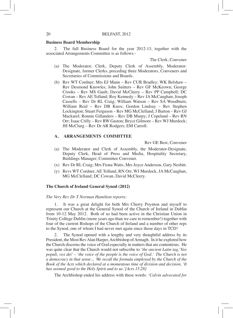#### **Business Board Membership**

2. The full Business Board for the year 2012-13, together with the associated Arrangements Committee is as follows:-

The Clerk, Convener

- (a) The Moderator, Clerk, Deputy Clerk of Assembly, Moderator-Designate, former Clerks, preceding three Moderators, Conveners and Secretaries of Commissions and Boards.
- (b) Rev WT Cordner; Mrs EJ Mann Rev CUR Bradley; WK Belshaw Rev Desmond Knowles; John Suitters – Rev GF McKeown; George Crooks – Rev MS Gault; David McCleery – Rev PP Campbell; DC Cowan – Rev AE Tolland; Roy Kennedy – Rev JA McCaughan; Joseph Cassells – Rev Dr RL Craig; William Watson – Rev SA Woodburn; William Reid – Rev DB Knox; Gordon Lindsay – Rev Stephen Lockington; Stuart Ferguson – Rev MG McClelland; J Barton – Rev GJ Mackarel; Ronnie Gillanders – Rev DB Murpy; J Copeland – Rev RN Orr; Isaac Crilly – Rev RW Gaston; Bryce Gilmore – Rev WJ Murdock; JH McClurg – Rev Dr AR Rodgers; EM Carroll.

#### **A. ARRANGEMENTS COMMITTEE**

Rev GE Best, Convener

- (a) The Moderator and Clerk of Assembly, the Moderator-Designate, Deputy Clerk, Head of Press and Media, Hospitality Secretary, Buildings Manager; Committee Convener.
- (x) Rev Dr RL Craig; Mrs Fiona Watts, Mrs Joyce Anderson, Gary Nesbitt.
- (y) Revs WT Cordner, AE Tolland, RN Orr, WJ Murdock, JA McCaughan, MG McClelland; DC Cowan, David McCleery.

#### **The Church of Ireland General Synod (2012)**

#### *The Very Rev Dr T Norman Hamilton reports:*

1. It was a great delight for both Mrs Cherry Poynton and myself to represent our Church at the General Synod of the Church of Ireland in Dublin from 10-12 May 2012. Both of us had been active in the Christian Union in Trinity College Dublin (more years ago than we care to remember!) together with four of the current Bishops of the Church of Ireland and a number of other reps to the Synod, one of whom I had never met again since those days in TCD!

2. The Synod opened with a lengthy and very thoughtful address by its President, the Most Rev Alan Harper, Archbishop of Armagh. In it he explored how the Church discerns the voice of God especially in matters that are contentious. He was quite clear that the Church would not subscribe to *'the ancient Latin tag,'Vox populi, vox dei' – 'the voice of the people is the voice of God.' The Church is not a democracy in that sense... We recall the formula employed by the Church of the Book of the Acts which declared at a momentous time of division and decision, 'It has seemed good to the Holy Spirit and to us.'[Acts 15.28]*

The Archbishop ended his address with these words: *'Calvin advocated for*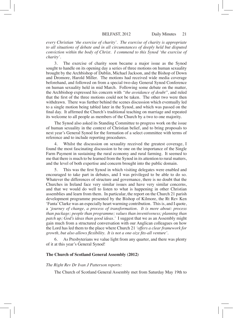*every Christian 'the exercise of charity'. The exercise of charity is appropriate to all situations of debate and in all circumstances of deeply held but disputed conviction within the body of Christ. I commend to this Synod 'the exercise of charity'.*

3. The exercise of charity soon became a major issue as the Synod sought to handle on its opening day a series of three motions on human sexuality brought by the Archbishop of Dublin, Michael Jackson, and the Bishop of Down and Dromore, Harold Miller. The motions had received wide media coverage beforehand, and followed on from a special two-day General Synod Conference on human sexuality held in mid March. Following some debate on the matter, the Archbishop expressed his concern with *"the avoidance of doubt",* and ruled that the first of the three motions could not be taken. The other two were then withdrawn. There was further behind the scenes discussion which eventually led to a single motion being tabled later in the Synod, and which was passed on the final day. It affirmed the Church's traditional teaching on marriage and repeated its welcome to all people as members of the Church by a two to one majority.

The Synod also asked its Standing Committee to progress work on the issue of human sexuality in the context of Christian belief, and to bring proposals to next year's General Synod for the formation of a select committee with terms of reference and to include reporting procedures.

Whilst the discussion on sexuality received the greatest coverage, I found the most fascinating discussion to be one on the importance of the Single Farm Payment in sustaining the rural economy and rural farming. It seemed to me that there is much to be learned from the Synod in its attention to rural matters, and the level of both expertise and concern brought into the public domain.

5. This was the first Synod in which visiting delegates were enabled and encouraged to take part in debates, and I was privileged to be able to do so. Whatever the differences of structure and governance, there is no doubt that the Churches in Ireland face very similar issues and have very similar concerns, and that we would do well to listen to what is happening in other Christian assemblies and learn from them. In particular, the report on the Church 21 parish development programme presented by the Bishop of Kilmore, the Rt Rev Ken 'Fanta'Clarke was an especially heart warming contribution. This is, and I quote, a *'journey of change, a process of transformation. It is more about: process than package; people than programme; values than inventiveness; planning than patch up; God's ideas than good ideas.'* I suggest that we as an Assembly might gain much from a structured conversation with our Anglican colleagues on how the Lord has led them to the place where Church 21 *'offers a clear framework for growth, but also allows flexibility. It is not a one-size fits-all venture'.*

6. As Presbyterians we value light from any quarter, and there was plenty of it at this year's General Synod!

#### **The Church of Scotland General Assembly (2012)**

#### *The Right Rev Dr Ivan J Patterson reports:*

The Church of Scotland General Assembly met from Saturday May 19th to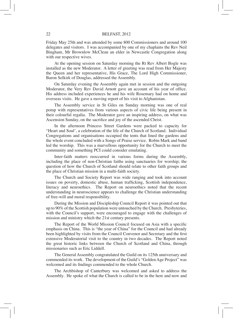Friday May 25th and was attended by some 800 Commissioners and around 100 delegates and visitors. I was accompanied by one of my chaplains the Rev Neil Bingham, Mr Brownlow McClean an elder in Newcastle Congregation along with our respective wives.

At the opening session on Saturday morning the Rt Rev Albert Bogle was installed as the new Moderator. A letter of greeting was read from Her Majesty the Queen and her representative, His Grace, The Lord High Commissioner, Baron Selkirk of Douglas, addressed the Assembly.

On Saturday evening the Assembly again met in session and the outgoing Moderator, the Very Rev David Arnott gave an account of his year of office. His address included experiences he and his wife Rosemary had on home and overseas visits. He gave a moving report of his visit to Afghanistan.

The Assembly service in St Giles on Sunday morning was one of real pomp with representatives from various aspects of civic life being present in their colourful regalia. The Moderator gave an inspiring address, on what was Ascension Sunday, on the sacrifice and joy of the ascended Christ.

In the afternoon Princess Street Gardens were packed to capacity for "Heart and Soul', a celebration of the life of the Church of Scotland. Individual Congregations and organisations occupied the tents that lined the gardens and the whole event concluded with a Songs of Praise service. Robin Mark and band led the worship. This was a marvellous opportunity for the Church to meet the community and something PCI could consider emulating.

Inter-faith matters reoccurred in various forms during the Assembly, including the place of non-Christian faiths using sanctuaries for worship; the question of how the Church of Scotland should relate to other faith groups and the place of Christian mission in a multi-faith society.

The Church and Society Report was wide ranging and took into account issues on poverty, domestic abuse, human trafficking, Scottish independence, literacy and neuroethics. The Report on neuroethics noted that the recent understanding in neuroscience appears to challenge the Christian understanding of free-will and moral responsibility.

During the Mission and Discipleship Council Report it was pointed out that up to 90% of the Scottish population were untouched by the Church. Presbyteries, with the Council's support, were encouraged to engage with the challenges of mission and ministry which the 21st century presents.

The Report of the World Mission Council focused on Asia with a specific emphasis on China. This is "the year of China" for the Council and had already been highlighted by visits from the Council Convenor and Secretary and the first extensive Moderatorial visit to the country in two decades. The Report noted the great historic links between the Church of Scotland and China, through missionaries such as Eric Liddell.

The General Assembly congratulated the Guild on its 125th anniversary and commended its work. The development of the Guild's "Golden Age Project" was welcomed and its findings commended to the whole Church.

The Archbishop of Canterbury was welcomed and asked to address the Assembly. He spoke of what the Church is called to be in the here and now and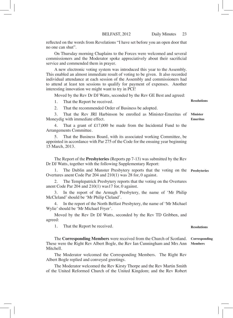reflected on the words from Revelations "I have set before you an open door that no one can shut".

On Thursday morning Chaplains to the Forces were welcomed and several commissioners and the Moderator spoke appreciatively about their sacrificial service and commended them in prayer.

A new electronic voting system was introduced this year to the Assembly. This enabled an almost immediate result of voting to be given. It also recorded individual attendance at each session of the Assembly and commissioners had to attend at least ten sessions to qualify for payment of expenses. Another interesting innovation we might want to try in PCI!

Moved by the Rev Dr DJ Watts, seconded by the Rev GE Best and agreed:

1. That the Report be received.

2. That the recommended Order of Business be adopted.

3. That the Rev JRI Harbinson be enrolled as Minister-Emeritus of Moneydig with immediate effect. **Minister Emeritus**

4. That a grant of £17,000 be made from the Incidental Fund to the Arrangements Committee.

That the Business Board, with its associated working Committee, be appointed in accordance with Par 275 of the Code for the ensuing year beginning 15 March, 2013.

The Report of the **Presbyteries** (Reports pp 7-13) was submitted by the Rev Dr DJ Watts, together with the following Supplementary Report:

1. The Dublin and Munster Presbytery reports that the voting on the **Presbyteries** Overtures anent Code Par 204 and 210(1) was 28 for, 0 against.

The Templepatrick Presbytery reports that the voting on the Overtures anent Code Par 204 and 210(1) was17 for, 0 against.

3. In the report of the Armagh Presbytery, the name of 'Mr Philip McCleland'should be 'Mr Philip Cleland'.

In the report of the North Belfast Presbytery, the name of 'Mr Michael Wylie'should be 'Mr Michael Fryer'.

Moved by the Rev Dr DJ Watts, seconded by the Rev TD Gribben, and agreed:

1. That the Report be received.

The **Corresponding Members** were received from the Church of Scotland. These were the Right Rev Albert Bogle, the Rev Ian Cunningham and Mrs Ann Mitchell. **Corresponding Members**

The Moderator welcomed the Corresponding Members. The Right Rev Albert Bogle replied and conveyed greetings.

The Moderator welcomed the Rev Kirsty Thorpe and the Rev Martin Smith of the United Reformed Church of the United Kingdom; and the Rev Robert

**Resolutions**

**Resolutions**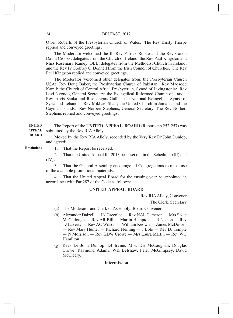Owen Roberts of the Presbyterian Church of Wales. The Rev Kirsty Thorpe replied and conveyed greetings.

The Moderator welcomed the Rt Rev Patrick Rooke and the Rev Canon David Crooks, delegates from the Church of Ireland; the Rev Paul Kingston and Miss Rosemary Rainey, OBE, delegates from the Methodist Church in Ireland; and the Rev Fr Godfrey O'Donnell from the Irish Council of Churches. The Rev Paul Kingston replied and conveyed greetings.

The Moderator welcomed other delegates from: the Presbyterian Church USA: Rev Doug Baker; the Presbyterian Church of Pakistan: Rev Maqsood Kamil; the Church of Central Africa Presbyterian, Synod of Livingstonia: Rev Levi Nyondo, General Secretary; the Evangelical Reformed Church of Latvia: Rev. Alvis Sauka and Rev Ungars Gulbis; the National Evangelical Synod of Syria and Lebanon: Rev Mikhael Sbait; the United Church in Jamaica and the Cayman Islands: Rev Norbert Stephens, General Secretary. The Rev Norbert Stephens replied and conveyed greetings.

The Report of the **UNITED APPEAL BOARD** (Reports pp 252-257) was submitted by the Rev RIA Allely. **UNITED APPEAL** 

> Moved by the Rev RIA Allely, seconded by the Very Rev Dr John Dunlop, and agreed:

**Resolutions**

**BOARD**

1. That the Report be received.

2. That the United Appeal for 2013 be as set out in the Schedules (III) and (IV).

3. That the General Assembly encourage all Congregations to make use of the available promotional materials.

4. That the United Appeal Board for the ensuing year be appointed in accordance with Par 287 of the Code as follows:

#### **UNITED APPEAL BOARD**

Rev RIAAllely, Convener

The Clerk, Secretary

- (a) The Moderator and Clerk of Assembly; Board Convener.
- (b) Alexander Dalzell JN Greenlee Rev NAL Cameron Mrs Sadie McCullough — Rev AR Bill — Martin Hampton — R Nelson — Rev TJ Laverty — Rev AC Wilson — William Keown — James McDowell — Rev Mary Hunter — Richard Fleming — J Bole — Rev DJ Temple — N Morrison — Rev KDW Crowe — Mrs Laura Martin — Rev WG Hamilton.
- (g) Revs Dr John Dunlop, DJ Irvine; Miss DE McCaughan, Douglas Crowe, Raymond Adams, WK Belshaw, Peter McGimpsey, David McCleery.

#### **Intermission**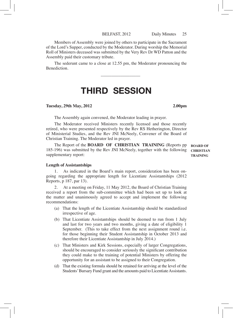Members of Assembly were joined by others to participate in the Sacrament of the Lord's Supper, conducted by the Moderator. During worship the Memorial Roll of Ministers deceased was submitted by the Very Rev Dr WD Patton and the Assembly paid their customary tribute.

The sederunt came to a close at 12.55 pm, the Moderator pronouncing the **Benediction** 

\_\_\_\_\_\_\_\_\_\_\_\_\_\_\_\_\_\_

# THIRD SESSION

#### **Tuesday, 29th May, 2012 2.00pm**

The Assembly again convened, the Moderator leading in prayer.

The Moderator received Ministers recently licensed and those recently retired, who were presented respectively by the Rev RS Hetherington, Director of Ministerial Studies, and the Rev JNI McNeely, Convener of the Board of Christian Training. The Moderator led in prayer.

The Report of the **BOARD OF CHRISTIAN TRAINING** (Reports pp 185-196) was submitted by the Rev JNI McNeely, together with the following supplementary report: **BOARD OF** 

**CHRISTIAN TRAINING**

#### **Length of Assistantships**

As indicated in the Board's main report, consideration has been ongoing regarding the appropriate length for Licentiate Assistantships (2012 Reports, p 187, par 13).

2. At a meeting on Friday, 11 May 2012, the Board of Christian Training received a report from the sub-committee which had been set up to look at the matter and unanimously agreed to accept and implement the following recommendations:

- (a) That the length of the Licentiate Assistantship should be standardized irrespective of age.
- (b) That Licentiate Assistantships should be deemed to run from 1 July and last for two years and two months, giving a date of eligibility 1 September. (This to take effect from the next assignment round i.e. for those beginning their Student Assistantship in October 2013 and therefore their Licentiate Assistantship in July 2014.)
- (c) That Ministers and Kirk Sessions, especially of larger Congregations, should be encouraged to consider seriously the significant contribution they could make to the training of potential Ministers by offering the opportunity for an assistant to be assigned to their Congregation.
- (d) That the existing formula should be retained for arriving at the level of the Students' Bursary Fund grant and the amounts paid to Licentiate Assistants.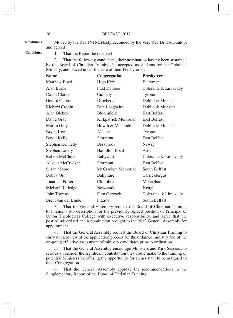Moved by the Rev JNI McNeely, seconded by the Very Rev Dr HA Dunlop, and agreed: **Resolutions**

**Candidates**

1. That the Report be received

2. That the following candidates, their nomination having been sustained by the Board of Christian Training, be accepted as students for the Ordained Ministry, and placed under the care of their Presbyteries:

| <b>Name</b>           | Congregation         | <b>Presbytery</b>    |
|-----------------------|----------------------|----------------------|
| Matthew Boyd          | High Kirk            | Ballymena            |
| Alan Burke            | <b>First Dunboe</b>  | Coleraine & Limavady |
| David Clarke          | Culnady              | Tyrone               |
| <b>Gerard Clinton</b> | Drogheda             | Dublin & Munster     |
| Richard Cronin        | Dun Laoghaire        | Dublin & Munster     |
| Alan Dickey           | <b>Bloomfield</b>    | <b>East Belfast</b>  |
| David Gray            | Kirkpatrick Memorial | <b>East Belfast</b>  |
| Martin Gray           | Howth & Malahide     | Dublin & Munster     |
| Bryan Kee             | Albany               | Tyrone               |
| David Kelly           | Stormont             | <b>East Belfast</b>  |
| Stephen Kennedy       | <b>Bessbrook</b>     | Newry                |
| Stephen Lowry         | <b>Hamilton Road</b> | Ards                 |
| Robert McClure        | <b>Ballywatt</b>     | Coleraine & Limavady |
| Alistair McCracken    | Stormont             | <b>East Belfast</b>  |
| Susan Moore           | McCracken Memorial   | South Belfast        |
| Bobby Orr             | Ballynure            | Carrickfergus        |
| Jonathan Porter       | Clontibret           | Monaghan             |
| Michael Rutledge      | Newcastle            | Iveagh               |
| John Torrens          | First Garvagh        | Coleraine & Limavady |
| Brent van der Linde   | Fitzroy              | South Belfast        |

3. That the General Assembly request the Board of Christian Training to finalise a job description for the previously agreed position of Principal of Union Theological College with executive responsibility, and agree that the post be advertised and a nomination brought to the 2013 General Assembly for appointment.

4. That the General Assembly request the Board of Christian Training to carry out a review of the application process for the ordained ministry and of the on-going effective assessment of ministry candidates prior to ordination.

5. That the General Assembly encourage Ministers and Kirk Sessions to seriously consider the significant contribution they could make to the training of potential Ministers by offering the opportunity for an assistant to be assigned to their Congregation.

6. That the General Assembly approve the recommendations in the Supplementary Report of the Board of Christian Training.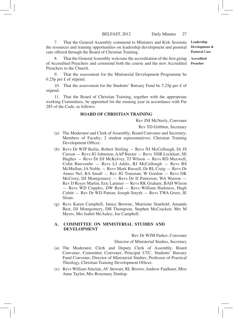7. That the General Assembly commend to Ministers and Kirk Sessions the resources and training opportunities on leadership development and pastoral care offered through the Board of Christian Training.

8. That the General Assembly welcome the accreditation of the first group of Accredited Preachers and commend both the course and the new Accredited Preachers to the Church.

9. That the assessment for the Ministerial Development Programme be 0.25p per £ of stipend.

10. That the assessment for the Students' Bursary Fund be 5.25p per £ of stipend.

11. That the Board of Christian Training, together with the appropriate working Committees, be appointed for the ensuing year in accordance with Par 285 of the Code, as follows:

#### **BOARD OF CHRISTIAN TRAINING**

Rev JNI McNeely, Convener

Rev TD Gribben, Secretary

- (a) The Moderator and Clerk of Assembly; Board Convener and Secretary; Members of Faculty; 2 student representatives; Christian Training Development Officer.
- (b) Revs Dr WJP Bailie, Robert Stirling Revs NJ McCullough, Dr JS Carson — Revs JG Johnston, AAP Baxter — Revs NSR Lockhart, SE Hughes — Revs Dr DJ McKelvey, TJ Wilson — Revs RD Maxwell, Colin Burcombe — Revs LJ Addis, RJ McCullough — Revs RS McMullan, JA Noble — Revs Mark Russell, Dr RL Craig — Revs Dr Annes Nel, BA Small — Rev JG Trueman; W Gordon — Revs DK McCrory, DJ Montgomery — Revs Dr IJ Patterson, WA Watson — Rev D Reyes Martin; Eric Latimer — Revs RK Graham, BAH Wilson — Revs WD Cupples, DW Reid — Revs William Harkness, Hugh Cubitt — Rev Dr WD Patton; Joseph Smyth — Revs TWA Greer, JE Sloan.
- (g) Revs Karen Campbell, Janice Browne, Mairisine Stanfield, Amanda Best, DJ Montgomery, DH Thompson, Stephen McCracken; Mrs M Myers, Mrs Isabel McAuley; Joe Campbell.

#### **A. COMMITTEE ON MINISTERIAL STUDIES AND DEVELOPMENT**

Rev Dr WJM Parker, Convener

Director of Ministerial Studies, Secretary

- (a) The Moderator, Clerk and Deputy Clerk of Assembly, Board Convener, Committee Convener, Principal UTC, Students' Bursary Fund Convener, Director of Ministerial Studies, Professor of Practical Theology, Christian Training Development Officer.
- (x) Revs William Sinclair, AV Stewart, RL Brown; Andrew Faulkner, Miss Anne Taylor, Mrs Rosemary Dunlop.

**Leadership Development & Pastoral Care**

**Accredited Preacher**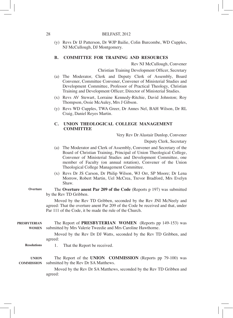(y) Revs Dr IJ Patterson, Dr WJP Bailie, Colin Burcombe, WD Cupples, NJ McCullough, DJ Montgomery.

#### **B. COMMITTEE FOR TRAINING AND RESOURCES**

Rev NJ McCullough, Convener

Christian Training Development Officer, Secretary

- (a) The Moderator, Clerk and Deputy Clerk of Assembly, Board Convener, Committee Convener, Convener of Ministerial Studies and Development Committee, Professor of Practical Theology, Christian Training and Development Officer; Director of Ministerial Studies.
- (x) Revs AV Stewart, Lorraine Kennedy-Ritchie, David Johnston; Roy Thompson, Ossie McAuley, Mrs J Gibson.
- (y) Revs WD Cupples, TWA Greer, Dr Annes Nel, BAH Wilson, Dr RL Craig, Daniel Reyes Martin.

#### **C. UNION THEOLOGICAL COLLEGE MANAGEMENT COMMITTEE**

Very Rev Dr Alastair Dunlop, Convener

Deputy Clerk, Secretary

- (a) The Moderator and Clerk of Assembly, Convener and Secretary of the Board of Christian Training, Principal of Union Theological College, Convener of Ministerial Studies and Development Committee, one member of Faculty (on annual rotation), Convener of the Union Theological College Management Committee.
- (x) Revs Dr JS Carson, Dr Philip Wilson, WJ Orr, SP Moore; Dr Lena Morrow, Robert Martin, Uel McCrea, Trevor Bradford, Mrs Evelyn Shaw.
- The **Overture anent Par 209 of the Code** (Reports p 197) was submitted by the Rev TD Gribben. **Overture**

Moved by the Rev TD Gribben, seconded by the Rev JNI McNeely and agreed: That the overture anent Par 209 of the Code be received and that, under Par 111 of the Code, it be made the rule of the Church.

The Report of **PRESBYTERIAN WOMEN** (Reports pp 149-153) was submitted by Mrs Valerie Tweedie and Mrs Caroline Hawthorne. **PRESBYTERIAN WOMEN**

> Moved by the Rev Dr DJ Watts, seconded by the Rev TD Gribben, and agreed:

1. That the Report be received. **Resolutions**

The Report of the **UNION COMMISSION** (Reports pp 79-100) was submitted by the Rev Dr SA Matthews. **COMMISSIONUNION** 

> Moved by the Rev Dr SA Matthews, seconded by the Rev TD Gribben and agreed: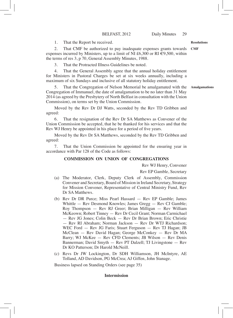1. That the Report be received.

2. That CMF be authorized to pay inadequate expenses grants towards expenses incurred by Ministers, up to a limit of NI £6,300 or RI  $\epsilon$ 9,500, within the terms of res 3, p 70, General Assembly Minutes, 1988. **CMF**

3. That the Protracted Illness Guidelines be noted.

4. That the General Assembly agree that the annual holiday entitlement for Ministers in Pastoral Charges be set at six weeks annually, including a maximum of six Sundays and inclusive of all statutory holiday entitlement.

5. That the Congregation of Nelson Memorial be amalgamated with the Congregation of Immanuel, the date of amalgamation to be no later than 31 May 2014 (as agreed by the Presbytery of North Belfast in consultation with the Union Commission), on terms set by the Union Commission.

Moved by the Rev Dr DJ Watts, seconded by the Rev TD Gribben and agreed:

6. That the resignation of the Rev Dr SA Matthews as Convener of the Union Commission be accepted, that he be thanked for his services and that the Rev WJ Henry be appointed in his place for a period of five years.

Moved by the Rev Dr SA Matthews, seconded by the Rev TD Gribben and agreed:

7. That the Union Commission be appointed for the ensuring year in accordance with Par 128 of the Code as follows:

#### **COMMISSION ON UNION OF CONGREGATIONS**

Rev WJ Henry, Convener

Rev EP Gamble, Secretary

- (a) The Moderator, Clerk, Deputy Clerk of Assembly, Commission Convener and Secretary, Board of Mission in Ireland Secretary, Strategy for Mission Convener, Representative of Central Ministry Fund, Rev Dr SA Matthews.
- (b) Rev Dr DR Purce; Miss Pearl Hassard Rev EP Gamble; James Whittle — Rev Desmond Knowles; James Gregg — Rev CJ Gamble; Roy Thompson — Rev RJ Greer; Brian Milligan — Rev William McKeown; Robert Tinney — Rev Dr Cecil Grant; Norman Carmichael — Rev JG Jones; Colin Beck — Rev Dr Brian Brown; Eric Christie — Rev RI Abraham; Norman Jackson — Rev Dr WTJ Richardson; WEC Ford - Rev JG Faris; Stuart Ferguson - Rev TJ Hagan; JB McClean — Rev David Hagan; George McConkey — Rev Dr MA Barry; WJ McKee — Rev CFD Clements; JB Wilson — Rev Denis Bannerman; David Smyth — Rev PT Dalzell; TJ Livingstone — Rev Dr KO Patterson; Dr Harold McNeill.
- (c) Revs Dr JW Lockington, Dr SDH Williamson, JH McIntyre, AE Tolland, AD Davidson, PG McCrea; AJ Giffen, John Stanage.

Business lapsed on Standing Orders (see page 35)

#### **Intermission**

#### **Resolutions**

**Amalgamations**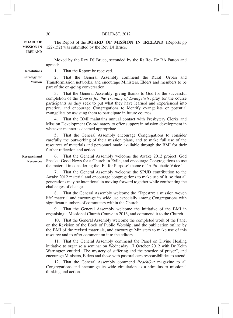The Report of the **BOARD OF MISSION IN IRELAND** (Reports pp 122-152) was submitted by the Rev DJ Bruce. **BOARD OF MISSION IN IRELAND**

> Moved by the Rev DJ Bruce, seconded by the Rt Rev Dr RA Patton and agreed:

1. That the Report be received. **Resolutions**

2. That the General Assembly commend the Rural, Urban and Transformission networks, and encourage Ministers, Elders and members to be part of the on-going conversation. **Strategy for Mission**

> 3. That the General Assembly, giving thanks to God for the successful completion of the *Course for the Training of Evangelists*, pray for the course participants as they seek to put what they have learned and experienced into practice, and encourage Congregations to identify evangelists or potential evangelists by assisting them to participate in future courses.

> 4. That the BMI maintains annual contact with Presbytery Clerks and Mission Development Co-ordinators to offer support in mission development in whatever manner is deemed appropriate.

> 5. That the General Assembly encourage Congregations to consider carefully the outworking of their mission plans, and to make full use of the resources of materials and personnel made available through the BMI for their further reflection and action.

**Research and Resources**

6. That the General Assembly welcome the Awake 2012 project, God Speaks: Good News for a Church in Exile, and encourage Congregations to use the material in considering the 'Fit for Purpose' theme of 'A Prophetic Voice.'

7. That the General Assembly welcome the SPUD contribution to the Awake 2012 material and encourage congregations to make use of it, so that all generations may be intentional in moving forward together while confronting the challenges of change.

8. That the General Assembly welcome the 'Tapestry: a mission woven life' material and encourage its wide use especially among Congregations with significant numbers of commuters within the Church.

9. That the General Assembly welcome the initiative of the BMI in organising a Missional Church Course in 2013, and commend it to the Church.

10. That the General Assembly welcome the completed work of the Panel on the Revision of the Book of Public Worship, and the publication online by the BMI of the revised materials, and encourage Ministers to make use of this resource and to offer comment on it to the editors.

11. That the General Assembly commend the Panel on Divine Healing initiative to organise a seminar on Wednesday 17 October 2012 with Dr Keith Warrington entitled "The mystery of suffering and the practice of prayer", and encourage Ministers, Elders and those with pastoral care responsibilities to attend.

12. That the General Assembly commend *ReachOut* magazine to all Congregations and encourage its wide circulation as a stimulus to missional thinking and action.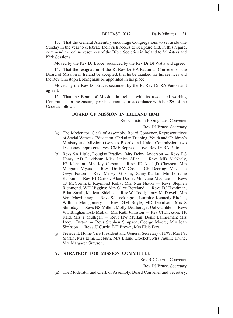13. That the General Assembly encourage Congregations to set aside one Sunday in the year to celebrate their rich access to Scripture and, in this regard, commend the online resources of the Bible Societies in Ireland to Ministers and Kirk Sessions.

Moved by the Rev DJ Bruce, seconded by the Rev Dr DJ Watts and agreed:

14. That the resignation of the Rt Rev Dr RA Patton as Convener of the Board of Mission in Ireland be accepted, that he be thanked for his services and the Rev Christoph Ebbinghaus be appointed in his place.

Moved by the Rev DJ Bruce, seconded by the Rt Rev Dr RA Patton and agreed:

15. That the Board of Mission in Ireland with its associated working Committees for the ensuing year be appointed in accordance with Par 280 of the Code as follows:

#### **BOARD OF MISSION IN IRELAND (BMI)**

Rev Christoph Ebbinghaus, Convener

Rev DJ Bruce, Secretary

- (a) The Moderator, Clerk of Assembly, Board Convener, Representatives of Social Witness, Education, Christian Training, Youth and Children's Ministry and Mission Overseas Boards and Union Commission; two Deaconess representatives, CMF Representative, Rev Dr RA Patton.
- (b) Revs SA Little, Douglas Bradley; Mrs Debra Anderson Revs DS Henry, AD Davidson; Miss Janice Allen — Revs MD McNeely, JG Johnston; Mrs Joy Carson — Revs ID Neish,D Clawson; Mrs Margaret Myers — Revs Dr RM Crooks, CH Deering; Mrs Jean Gwyn Patton — Revs Mervyn Gibson, Danny Rankin; Mrs Lorraine Rankin — Rev RI Carton; Alan Doole, Mrs Jane McClure — Revs TJ McCormick, Raymond Kelly; Mrs Nan Nixon — Revs Stephen Richmond, WH Higgins; Mrs Olive Boreland — Revs DJ Hyndman, Brian Small; Ms Jean Shields — Rev WJ Todd; James McDowell, Mrs Vera Mawhinney — Revs SJ Lockington, Lorraine Kennedy-Ritchie, William Montgomery — Rev DJM Boyle, MD Davidson; Mrs S Shilliday — Revs NS Millen, Molly Deatherage; Uel Gamble — Revs WT Bingham, AD Mullan; Mrs Ruth Johnston — Rev CI Dickson; TR Reid, Mrs Y Mulligan — Revs HW Mullan, Denis Bannerman; Mrs Jacqui Turton — Revs Stephen Simpson, George Moore; Mrs Joan Simpson — Revs JJ Currie, DH Brown; Mrs Elsie Farr.
- (p) President, Home Vice President and General Secretary of PW; Mrs Pat Martin, Mrs Elma Leeburn, Mrs Elaine Crockett, Mrs Pauline Irvine, Mrs Margaret Grayson.

## **A. STRATEGY FOR MISSION COMMITTEE**

Rev BD Colvin, Convener

Rev DJ Bruce, Secretary

(a) The Moderator and Clerk of Assembly, Board Convener and Secretary,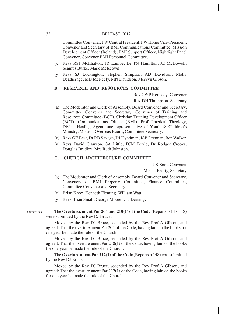Committee Convener, PW Central President, PW Home Vice-President, Convener and Secretary of BMI Communications Committee, Mission Development Officer (Ireland), BMI Support Officer, Nightlight Panel Convener, Convener BMI Personnel Committee.

- (x) Revs RSJ McIlhatton, JR Lambe, Dr TN Hamilton, JE McDowell; Seamus Burke, Mark McKeown.
- (y) Revs SJ Lockington, Stephen Simpson, AD Davidson, Molly Deatherage, MD McNeely, MN Davidson, Mervyn Gibson.

#### **B. RESEARCH AND RESOURCES COMMITTEE**

Rev CWP Kennedy, Convener

Rev DH Thompson, Secretary

- (a) The Moderator and Clerk of Assembly, Board Convener and Secretary, Committee Convener and Secretary, Convener of Training and Resources Committee (BCT), Christian Training Development Officer (BCT), Communications Officer (BMI), Prof Practical Theology, Divine Healing Agent, one representataive of Youth & Children's Ministry, Mission Overseas Board, Committee Secretary.
- (x) Revs GE Best, Dr RB Savage, DJ Hyndman, JSB Drennan, Ben Walker.
- (y) Revs David Clawson, SA Little, DJM Boyle, Dr Rodger Crooks, Douglas Bradley; Mrs Ruth Johnston.

#### **C. CHURCH ARCHITECTURE COMMITTEE**

TR Reid, Convener

Miss L Beatty, Secretary

- (a) The Moderator and Clerk of Assembly, Board Convener and Secretary, Conveners of BMI Property Committee, Finance Committee, Committee Convener and Secretary.
- (x) Brian Knox, Kenneth Fleming, William Watt.
- (y) Revs Brian Small, George Moore, CH Deering.

The **Overtures anent Par 204 and 210(1) of the Code** (Reports p 147-148) were submitted by the Rev DJ Bruce. **Overtures**

> Moved by the Rev DJ Bruce, seconded by the Rev Prof A Gibson, and agreed: That the overture anent Par 204 of the Code, having lain on the books for one year be made the rule of the Church.

> Moved by the Rev DJ Bruce, seconded by the Rev Prof A Gibson, and agreed: That the overture anent Par 210(1) of the Code, having lain on the books for one year be made the rule of the Church.

> The **Overture anent Par 212(1) of the Code** (Reports p 148) was submitted by the Rev DJ Bruce.

> Moved by the Rev DJ Bruce, seconded by the Rev Prof A Gibson, and agreed: That the overture anent Par 212(1) of the Code, having lain on the books for one year be made the rule of the Church.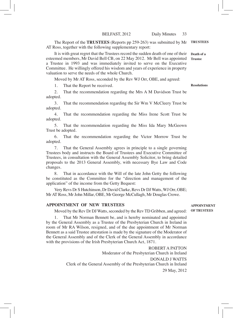The Report of the **TRUSTEES** (Reports pp 259-263) was submitted by Mr **TRUSTEES** AT Ross, together with the following supplementary report:

It is with great regret that the Trustees record the sudden death of one of their esteemed members, Mr David Bell CB, on 22 May 2012. Mr Bell was appointed **Trustee** a Trustee in 1993 and was immediately invited to serve on the Executive Committee. He willingly offered his wisdom and years of experience in property valuation to serve the needs of the whole Church. **Death of a** 

Moved by Mr AT Ross, seconded by the Rev WJ Orr, OBE, and agreed:

1. That the Report be received.

**Resolutions**

2. That the recommendation regarding the Mrs A M Davidson Trust be adopted.

3. That the recommendation regarding the Sir Wm V McCleery Trust be adopted.

4. That the recommendation regarding the Miss Irene Scott Trust be adopted.

5. That the recommendation regarding the Miss Ida Mary McGeown Trust be adopted.

6. That the recommendation regarding the Victor Morrow Trust be adopted.

7. That the General Assembly agrees in principle to a single governing Trustees body and instructs the Board of Trustees and Executive Committee of Trustees, in consultation with the General Assembly Solicitor, to bring detailed proposals to the 2013 General Assembly, with necessary Bye Law and Code changes.

8. That in accordance with the Will of the late John Getty the following be constituted as the Committee for the "direction and management of the application" of the income from the Getty Bequest:

Very Revs Dr S Hutchinson, Dr David Clarke, Revs Dr DJ Watts, WJ Orr, OBE; Mr AT Ross, Mr John Millar, OBE, Mr George McCullagh, Mr Douglas Crowe.

#### **APPOINTMENT OF NEW TRUSTEES**

Moved by the Rev Dr DJ Watts, seconded by the Rev TD Gribben, and agreed: **OF TRUSTEES**

That Mr Norman Bennett be, and is hereby nominated and appointed by the General Assembly as a Trustee of the Presbyterian Church in Ireland in room of Mr RA Wilson, resigned, and of the due appointment of Mr Norman Bennett as a said Trustee attestation is made by the signature of the Moderator of the General Assembly and of the Clerk of the General Assembly in accordance with the provisions of the Irish Presbyterian Church Act, 1871.

> ROBERT A PATTON Moderator of the Presbyterian Church in Ireland DONALD J WATTS Clerk of the General Assembly of the Presbyterian Church in Ireland 29 May, 2012

# **APPOINTMENT**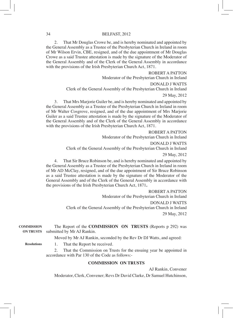2. That Mr Douglas Crowe be, and is hereby nominated and appointed by the General Assembly as a Trustee of the Presbyterian Church in Ireland in room of Mr Wilson Ervin, CBE, resigned, and of the due appointment of Mr Douglas Crowe as a said Trustee attestation is made by the signature of the Moderator of the General Assembly and of the Clerk of the General Assembly in accordance with the provisions of the Irish Presbyterian Church Act, 1871.

ROBERT A PATTON Moderator of the Presbyterian Church in Ireland DONALD J WATTS Clerk of the General Assembly of the Presbyterian Church in Ireland 29 May, 2012 3. That Mrs Marjorie Guiler be, and is hereby nominated and appointed by

the General Assembly as a Trustee of the Presbyterian Church in Ireland in room of Mr Walter Cosgrove, resigned, and of the due appointment of Mrs Marjorie Guiler as a said Trustee attestation is made by the signature of the Moderator of the General Assembly and of the Clerk of the General Assembly in accordance with the provisions of the Irish Presbyterian Church Act, 1871.

> ROBERT A PATTON Moderator of the Presbyterian Church in Ireland DONALD J WATTS Clerk of the General Assembly of the Presbyterian Church in Ireland 29 May, 2012

4. That Sir Bruce Robinson be, and is hereby nominated and appointed by the General Assembly as a Trustee of the Presbyterian Church in Ireland in room of Mr AD McClay, resigned, and of the due appointment of Sir Bruce Robinson as a said Trustee attestation is made by the signature of the Moderator of the General Assembly and of the Clerk of the General Assembly in accordance with the provisions of the Irish Presbyterian Church Act, 1871**.**

> ROBERT A PATTON Moderator of the Presbyterian Church in Ireland DONALD J WATTS Clerk of the General Assembly of the Presbyterian Church in Ireland 29 May, 2012

The Report of the **COMMISSION ON TRUSTS** (Reports p 292) was submitted by Mr AJ Rankin. **COMMISSION ON TRUSTS**

Moved by Mr AJ Rankin, seconded by the Rev Dr DJ Watts, and agreed:

1. That the Report be received. **Resolutions**

> 2. That the Commission on Trusts for the ensuing year be appointed in accordance with Par 130 of the Code as follows:-

# **COMMISSION ON TRUSTS**

AJ Rankin, Convener

Moderator, Clerk, Convener; Revs Dr David Clarke, Dr Samuel Hutchinson,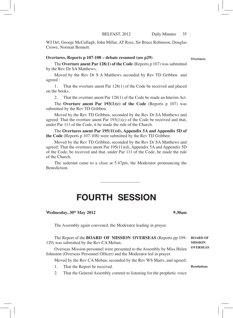WJ Orr; George McCullagh, John Millar, AT Ross, Sir Bruce Robinson, Douglas Crowe, Norman Bennett.

#### **Overtures, Reports p 107-108 – debate resumed (see p29)**

The **Overture anent Par 128(1) of the Code** (Reports p 107) was submitted by the Rev Dr SA Matthews.

Moved by the Rev Dr S A Matthews seconded by Rev TD Gribben and agreed :

1. That the overture anent Par 128(1) of the Code be received and placed on the books.

2. That the overture anent Par 128(1) of the Code be made an Interim Act.

The **Overture anent Par 193(1)(c) of the Code** (Reports p 107) was submitted by the Rev TD Gribben.

Moved by the Rev TD Gribben, seconded by the Rev Dr SA Matthews and agreed: That the overture anent Par  $193(1)(c)$  of the Code be received and that, under Par 111 of the Code, it be made the rule of the Church.

The **Overtures anent Par 195(11)(d), Appendix 5A and Appendix 5D of the Code** (Reports p 107-108) were submitted by the Rev TD Gribben.

Moved by the Rev TD Gribben, seconded by the Rev Dr SA Matthews and agreed: That the overtures anent Par 195(11)(d), Appendix 5A and Appendix 5D of the Code, be received and that, under Par 111 of the Code, be made the rule of the Church.

The sederunt came to a close at 5.47pm, the Moderator pronouncing the Benediction.

\_\_\_\_\_\_\_\_\_\_\_\_\_\_\_\_\_\_

# FOURTH SESSION

**Wednesday, 30th May 2012 9.30am**

The Assembly again convened, the Moderator leading in prayer.

The Report of the **BOARD OF MISSION OVERSEAS** (Reports pp 109- 129) was submitted by the Rev CA Meban. Overseas Mission personnel were presented to the Assembly by Miss Helen Johnston (Overseas Personnel Officer) and the Moderator led in prayer. Moved by the Rev CA Meban, seconded by the Rev WS Marrs, and agreed: **BOARD OF MISSION OVERSEAS**

- 1. That the Report be received.
- 2. That the General Assembly commit to listening for the prophetic voice

**Resolutions**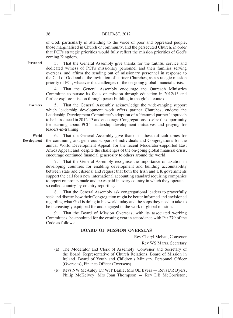of God, particularly in attending to the voice of poor and oppressed people, those marginalised in Church or community, and the persecuted Church, in order that PCI's strategic priorities would fully reflect the mission priorities of God's coming Kingdom.

**Personnel**

3. That the General Assembly give thanks for the faithful service and dedicated witness of PCI's missionary personnel and their families serving overseas, and affirm the sending out of missionary personnel in response to the Call of God and at the invitation of partner Churches, as a strategic mission priority of PCI, whatever the challenges of the on-going global financial crisis.

4. That the General Assembly encourage the Outreach Ministries Committee to pursue its focus on mission through education in 2012/13 and further explore mission through peace-building in the global context.

5. That the General Assembly acknowledge the wide-ranging support which leadership development work offers partner Churches, endorse the Leadership Development Committee's adoption of a 'featured partner' approach to be introduced in 2012-13 and encourage Congregations to seize the opportunity for learning about PCI's leadership development initiatives and praying for leaders-in-training. **Partners**

**World Development**

6. That the General Assembly give thanks in these difficult times for the continuing and generous support of individuals and Congregations for the annual World Development Appeal, for the recent Moderator-supported East Africa Appeal; and, despite the challenges of the on-going global financial crisis, encourage continued financial generosity to others around the world.

7. That the General Assembly recognise the importance of taxation in developing countries for enabling development and building accountability between state and citizens; and request that both the Irish and UK governments support the call for a new international accounting standard requiring companies to report on profits made and taxes paid in every country in which they operate – so called country-by-country reporting.

8. That the General Assembly ask congregational leaders to prayerfully seek and discern how their Congregation might be better informed and envisioned regarding what God is doing in his world today and the steps they need to take to be increasingly equipped for and engaged in the work of global mission.

That the Board of Mission Overseas, with its associated working Committees, be appointed for the ensuing year in accordance with Par 279 of the Code as follows:

# **BOARD OF MISSION OVERSEAS**

Rev Cheryl Meban, Convener

Rev WS Marrs, Secretary

- (a) The Moderator and Clerk of Assembly; Convener and Secretary of the Board; Representative of Church Relations, Board of Mission in Ireland, Board of Youth and Children's Ministry, Personnel Officer (Overseas), Finance Officer (Overseas).
- (b) Revs NW McAuley, Dr WJP Bailie; Mrs OE Byers Revs DR Byers, Philip McKelvey; Mrs Joan Thompson — Rev DB McCorriston;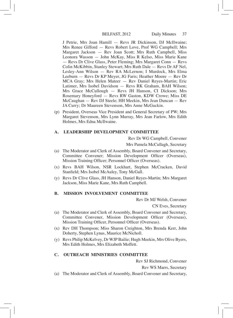J Petrie, Mrs Joan Hamill — Revs JR Dickinson, DJ McIlwaine; Mrs Renee Gifford — Revs Robert Love, Prof WG Campbell; Mrs Margaret Jackson — Rev Joan Scott; Mrs Ruth Campbell, Miss Leonora Wasson — John McKay, Miss R Kelso, Miss Marie Kane — Revs Dr Clive Glass, Peter Fleming; Mrs Margaret Conn — Revs Colin McKibbin, Stanley Stewart; Mrs Ruth Dale — Revs Dr AF Nel, Lesley-Ann Wilson — Rev RA McLernon; I Murdock, Mrs Elma Leeburn — Revs Dr KP Meyer, JG Faris; Heather Moore — Rev Dr MCA Gray; Mrs Helen Mateer — Rev Daniel Reyes-Martin; Eric Latimer, Mrs Isobel Davidson — Revs RK Graham, BAH Wilson; Mrs Grace McCullough — Revs JH Hanson, CI Dickson; Mrs Rosemary Honeyford — Revs RW Gaston, KDW Crowe; Miss DE McCaughan — Rev DJ Steele; HH Meekin, Mrs Jean Duncan — Rev JA Curry; Dr Maureen Stevenson, Mrs Anne McGuckin.

(p) President, Overseas Vice President and General Secretary of PW; Mrs Margaret Stevenson, Mrs Lynn Murray, Mrs Jean Farlow, Mrs Edith Holmes, Mrs Edna McIlwaine.

# **A. LEADERSHIP DEVELOPMENT COMMITTEE**

Rev Dr WG Campbell, Convener

Mrs Pamela McCullagh, Secretary

- (a) The Moderator and Clerk of Assembly, Board Convener and Secretary, Committee Convener; Mission Development Officer (Overseas), Mission Training Officer; Personnel Officer (Overseas).
- (x) Revs BAH Wilson, NSR Lockhart, Stephen McCracken, David Stanfield; Mrs Isobel McAuley, Tony McGall.
- (y) Revs Dr Clive Glass, JH Hanson, Daniel Reyes-Martin; Mrs Margaret Jackson, Miss Marie Kane, Mrs Ruth Campbell.

# **B. MISSION INVOLVEMENT COMMITTEE**

Rev Dr MJ Welsh, Convener

CN Eves, Secretary

- (a) The Moderator and Clerk of Assembly, Board Convener and Secretary, Committee Convener, Mission Development Officer (Overseas), Mission Training Officer, Personnel Officer (Overseas).
- (x) Rev DH Thompson; Miss Sharon Creighton, Mrs Brenda Kerr, John Doherty, Stephen Lynas, Maurice McNicholl.
- (y) Revs Philip McKelvey, Dr WJP Bailie; Hugh Meekin, Mrs Olive Byers, Mrs Edith Holmes, Mrs Elizabeth Moffett.

# **C. OUTREACH MINISTRIES COMMITTEE**

Rev SJ Richmond, Convener

Rev WS Marrs, Secretary

(a) The Moderator and Clerk of Assembly, Board Convener and Secretary,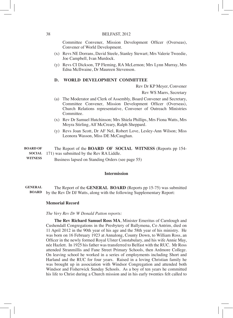Committee Convener, Mission Development Officer (Overseas), Convener of World Development.

- (x) Revs NE Dorrans, David Steele, Stanley Stewart; Mrs Valerie Tweedie, Joe Campbell, Ivan Murdock.
- (y) Revs CI Dickson, TP Fleming, RA McLernon; Mrs Lynn Murray, Mrs Edna McIlwaine, Dr Maureen Stevenson.

# **D. WORLD DEVELOPMENT COMMITTEE**

Rev Dr KP Meyer, Convener

Rev WS Marrs, Secretary

- (a) The Moderator and Clerk of Assembly, Board Convener and Secretary, Committee Convener, Mission Development Officer (Overseas), Church Relations representative, Convener of Outreach Ministries Committee.
- (x) Rev Dr Samuel Hutchinson; Mrs Shiela Phillips, Mrs Fiona Watts, Mrs Moyra Stirling, Alf McCreary, Ralph Sheppard.
- (y) Revs Joan Scott, Dr AF Nel, Robert Love, Lesley-Ann Wilson; Miss Leonora Wasson, Miss DE McCaughan.

#### The Report of the **BOARD OF SOCIAL WITNESS** (Reports pp 154- **SOCIAL** 171) was submitted by the Rev RA Liddle. **BOARD OF**

Business lapsed on Standing Orders (see page 55) **WITNESS**

### **Intermission**

The Report of the **GENERAL BOARD** (Reports pp 15-75) was submitted by the Rev Dr DJ Watts, along with the following Supplementary Report: **BOARDGENERAL** 

# **Memorial Record**

#### *The Very Rev Dr W Donald Patton reports:*

**The Rev Richard Samuel Ross MA**, Minister Emeritus of Carnlough and Cushendall Congregations in the Presbytery of Ballymena, Co Antrim, died on 11 April 2012 in the 90th year of his age and the 58th year of his ministry. He was born on 16 February 1923 at Annalong, County Down, to William Ross, an Officer in the newly formed Royal Ulster Constabulary, and his wife Annie May, née Hazlett. In 1925 his father was transferred to Belfast with the RUC. Mr Ross attended Stranmillis and Fane Street Primary Schools, then Ardmore College. On leaving school he worked in a series of employments including Short and Harland and the RUC for four years. Raised in a loving Christian family he was brought up in association with Windsor Congregation and attended both Windsor and Fisherwick Sunday Schools. As a boy of ten years he committed his life to Christ during a Church mission and in his early twenties felt called to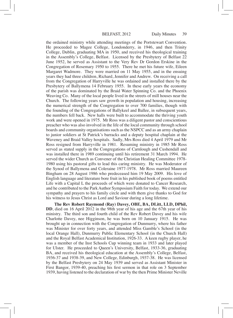the ordained ministry while attending meetings of the Portstewart Convention. He proceeded to Magee College, Londonderry, in 1946, and then Trinity College, Dublin, graduating MA in 1950, and received his theological training in the Assembly's College, Belfast. Licensed by the Presbytery of Belfast 22 June 1952, he served as Assistant to the Very Rev Dr Gordon Erskine in the Congregation of Rosemary 1950 to 1955. There he met his future wife, Eileen Margaret Wadmore. They were married on 11 May 1955, and in the ensuing years they had three children, Richard, Jennifer and Andrew. On receiving a call from the Congregation of Harryville he was ordained and installed there by the Presbytery of Ballymena 14 February 1955. In these early years the economy of the parish was dominated by the Braid Water Spinning Co. and the Phoenix Weaving Co. Many of the local people lived in the streets of mill houses near the Church. The following years saw growth in population and housing, increasing the numerical strength of the Congregation to over 700 families, though with the founding of the Congregations of Ballykeel and Ballee, in subsequent years, the numbers fell back. New halls were built to accommodate the thriving youth work and were opened in 1975. Mr Ross was a diligent pastor and conscientious preacher who was also involved in the life of the local community through school boards and community organisations such as the NSPCC and as an army chaplain to junior soldiers at St Patrick's barracks and a deputy hospital chaplain at the Waveney and Braid Valley hospitals. Sadly, Mrs Ross died 4 April 1979 and Mr Ross resigned from Harryville in 1981. Resuming ministry in 1985 Mr Ross served as stated supply in the Congregations of Carnlough and Cushendall and was installed there in 1989 continuing until his retirement 31 March 1994. He served the wider Church as Convener of the Christian Healing Committee 1978- 1980 using his pastoral gifts to lead this caring ministry. He was Moderator of the Synod of Ballymena and Coleraine 1977-1978. Mr Ross married Maureen Bingham on 28 August 1986 who predeceased him 19 May 2009. His love of English language and literature bore fruit in his published book of poems entitled Life with a Capital L the proceeds of which were donated to Cancer Research, and he contributed to the Park Author Symposium Faith for today. We extend our sympathy and prayers to his family circle and with them give thanks to God for his witness to Jesus Christ as Lord and Saviour during a long lifetime.

**The Rev Robert Raymond (Ray) Davey, OBE, BA, DLitt, LLD, DPhil, DD**, died on 16 April 2012 in the 98th year of his age and the 67th year of his ministry. The third son and fourth child of the Rev Robert Davey and his wife Charlotte Davey, nee Higginson, he was born on 10 January 1915. He was brought up in connection with the Congregation of Dunmurry, where his father was Minister for over forty years, and attended Miss Gamble's School (in the local Orange Hall), Dunmurry Public Elementary School (in the Church Hall) and the Royal Belfast Academical Institution, 1926-33. A keen rugby player, he was a member of the Inst Schools Cup winning team in 1933 and later played for Ulster. He proceeded to Queen's University, Belfast, 1933-36, graduating BA, and received his theological education at the Assembly's College, Belfast, 1936-37 and 1938-39, and New College, Edinburgh, 1937-38. He was licensed by the Belfast Presbytery on 24 May 1939 and served as Assistant Minister in First Bangor, 1939-40, preaching his first sermon in that role on 3 September 1939, having listened to the declaration of war by the then Prime Minister Neville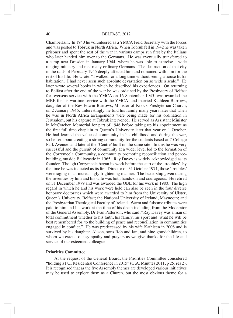Chamberlain. In 1940 he volunteered as a YMCA Field Secretary with the forces and was posted to Tobruk in NorthAfrica. When Tobruk fell in 1942 he wastaken prisoner and spent the rest of the war in various camps run first by the Italians who later handed him over to the Germans. He was eventually transferred to a camp near Dresden in January 1944, where he was able to exercise a wide ranging ministry and met many ordinary Germans. The destruction of that city in the raids of February 1945 deeply affected him and remained with him for the rest of his life. He wrote, "I walked for a long time without seeing a house fit for habitation. I had never seen such absolute devastation on so wide a scale." He later wrote several books in which he described his experiences. On returning to Belfast after the end of the war he was ordained by the Presbytery of Belfast for overseas service with the YMCA on 16 September 1945, was awarded the MBE for his wartime service with the YMCA, and married Kathleen Burrows, daughter of the Rev Edwin Burrows, Minister of Knock Presbyterian Church, on 2 January 1946. Interestingly, he told his family many years later that when he was in North Africa arrangements were being made for his ordination in Jerusalem, but his capture at Tobruk intervened. He served as Assistant Minister in McCracken Memorial for part of 1946 before taking up his appointment as the first full-time chaplain to Queen's University later that year on 1 October. He had learned the value of community in his childhood and during the war, so he set about creating a strong community for the students based at 7 College Park Avenue, and later at the 'Centre' built on the same site. In this he was very successful and the pursuit of community at a wider level led to the formation of the Corrymeela Community, a community promoting reconciliation and peacebuilding, outside Ballycastle in 1965. Ray Davey is widely acknowledged as its founder. Though Corrymeela began its work before the start of the 'troubles', by the time he was inducted as its first Director on 31 October 1971, those 'troubles' were raging in an increasingly frightening manner. The leadership given during the seventies by him and his wife was both hands-on and courageous. He retired on 31 December 1979 and was awarded the OBE for his work in 1980. The high regard in which he and his work were held can also be seen in the four diverse honorary doctorates which were awarded to him from the University of Ulster; Queen's University, Belfast; the National University of Ireland, Maynooth; and the Presbyterian Theological Faculty of Ireland. Warm and fulsome tributes were paid to him and his work at the time of his death including from the Moderator of the General Assembly, Dr Ivan Patterson, who said, "Ray Davey was a man of total commitment whether to his faith, his family, his sport and, what he will be best remembered for, to the building of peace and reconciliation in communities engaged in conflict." He was predeceased by his wife Kathleen in 2008 and is survived by his daughter, Alison, sons Rob and Ian, and nine grandchildren, to whom we extend our sympathy and prayers as we give thanks for the life and service of our esteemed colleague.

# **Priorities Committee**

At the request of the General Board, the Priorities Committee considered "holding a PCI Residential Conference in 2015" (G.A. Minutes 2011, p 25, res 2). It is recognised that as the five Assembly themes are developed various initiatives may be used to explore them as a Church, but the most obvious theme for a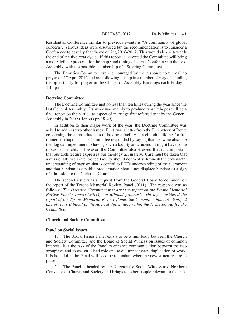Residential Conference similar to previous events is "A community of global concern". Various ideas were discussed but the recommendation is to consider a Conference to develop that theme during 2016-2017. This would also be towards the end of the five-year cycle. If this report is accepted the Committee will bring a more definite proposal for the shape and timing of such a Conference to the next Assembly, with the possible membership of a Steering Committee.

The Priorities Committee were encouraged by the response to the call to prayer on 17 April 2012 and are following this up in a number of ways, including the opportunity for prayer in the Chapel of Assembly Buildings each Friday at 1.15 p.m.

#### **Doctrine Committee**

The Doctrine Committee met no less than ten times during the year since the last General Assembly. Its work was mainly to produce what it hopes will be a final report on the particular aspect of marriage first referred to it by the General Assembly in 2009 (Reports pp.38-49).

In addition to their major work of the year, the Doctrine Committee was asked to address two other issues. First, was a letter from the Presbytery of Route concerning the appropriateness of having a facility in a church building for full immersion baptism. The Committee responded by saying that it saw no absolute theological impediment to having such a facility and, indeed, it might have some missional benefits. However, the Committee also stressed that it is important that our architecture expresses our theology accurately. Care must be taken that a missionally well intentioned facility should not tacitly diminish the covenantal understanding of baptism that is central to PCI's understanding of the sacrament and that baptism as a public proclamation should not displace baptism as a sign of admission to the Christian Church.

The second issue was a request from the General Board to comment on the report of the Tyrone Memorial Review Panel (2011). The response was as follows: *The Doctrine Committee was asked to report on the Tyrone Memorial Review Panel's report (2011), 'on Biblical grounds'. Having considered the report of the Tyrone Memorial Review Panel, the Committee has not identified any obvious Biblical or theological difficulties, within the terms set out for the Committee.*

#### **Church and Society Committee**

#### **Panel on Social Issues**

The Social Issues Panel exists to be a link body between the Church and Society Committee and the Board of Social Witness on issues of common interest. It is the task of the Panel to enhance communication between the two groupings and to assign a lead role and avoid unnecessary duplication of work. It is hoped that the Panel will become redundant when the new structures are in place.

2. The Panel is headed by the Director for Social Witness and Northern Convener of Church and Society and brings together people relevant to the task.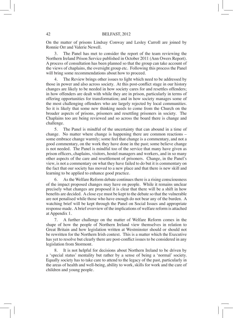On the matter of prisons Lindsay Conway and Lesley Carroll are joined by Ronnie Orr and Valerie Newell.

3. The Panel has met to consider the report of the team reviewing the Northern Ireland Prison Service published in October 2011 (Ann Owers Report). A process of consultation has been planned so that the group can take account of the views of chaplains, the oversight group etc. Following this process the Panel will bring some recommendations about how to proceed.

4. The Review brings other issues to light which need to be addressed by those in power and also across society. At this post-conflict stage in our history changes are likely to be needed in how society cares for and resettles offenders; in how offenders are dealt with while they are in prison, particularly in terms of offering opportunities for transformation; and in how society manages some of the most challenging offenders who are largely rejected by local communities. So it is likely that some new thinking needs to come from the Church on the broader aspects of prisons, prisoners and resettling prisoners in society. The Chaplains too are being reviewed and so across the board there is change and challenge.

5. The Panel is mindful of the uncertainty that can abound in a time of change. No matter where change is happening there are common reactions – some embrace change warmly; some feel that change is a commentary, and not a good commentary, on the work they have done in the past; some believe change is not needed. The Panel is mindful too of the service that many have given as prison officers, chaplains, visitors, hostel managers and workers, and in so many other aspects of the care and resettlement of prisoners. Change, in the Panel's view, is not a commentary on what they have failed to do but it is commentary on the fact that our society has moved to a new place and that there is new skill and learning to be applied to enhance good practice.

6. As the Welfare Reform debate continues there is a rising consciousness of the impact proposed changes may have on people. While it remains unclear precisely what changes are proposed it is clear that there will be a shift in how benefits are decided. A close eye must be kept to the debate so that the vulnerable are not penalised while those who have enough do not bear any of the burden. A watching brief will be kept through the Panel on Social Issues and appropriate response made. Abrief overview of the implications of welfare reform is attached at Appendix 1.

7. A further challenge on the matter of Welfare Reform comes in the shape of how the people of Northern Ireland view themselves in relation to Great Britain and how legislation written at Westminster should or should not be rewritten for the Northern Irish context. This is a matter which the Executive has yet to resolve but clearly there are post-conflict issues to be considered in any legislation from Stormont.

8. It is not helpful for decisions about Northern Ireland to be driven by a 'special status' mentality but rather by a sense of being a 'normal' society. Equally society has to take care to attend to the legacy of the past, particularly in the areas of health and well-being, ability to work, skills for work and the care of children and young people.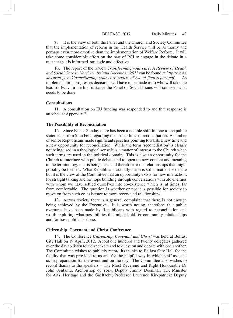9. It is the view of both the Panel and the Church and Society Committee that the implementation of reform in the Health Service will be as thorny and perhaps even more emotive than the implementation of Welfare Reform. It will take some considerable effort on the part of PCI to engage in the debate in a manner that is informed, strategic and effective.

10. The report of the review *Transforming your care: A Review of Health and Social Care in Northern Ireland December, 2011* can be found at *http://www.* dhsspsni.gov.uk/transforming-your-care-review-of-hsc-ni-final-report.pdf. implementation progresses decisions will have to be made as to who will take the lead for PCI. In the first instance the Panel on Social Issues will consider what needs to be done.

#### **Consultations**

11. A consultation on EU funding was responded to and that response is attached at Appendix 2.

# **The Possibility of Reconciliation**

12. Since Easter Sunday there has been a notable shift in tone to the public statements from Sinn Fein regarding the possibilities of reconciliation. A number of senior Republicans made significant speeches pointing towards a new time and a new opportunity for reconciliation. While the term 'reconciliation' is clearly not being used in a theological sense it is a matter of interest to the Church when such terms are used in the political domain. This is also an opportunity for the Church to interface with public debate and to open up new content and meaning to the terminology that is being used and therefore to the relationships that might possibly be formed. What Republicans actually mean is still a matter for debate but it is the view of the Committee that an opportunity exists for new interaction, for straight talking and for hope building through conversations with old enemies with whom we have settled ourselves into co-existence which is, at times, far from comfortable. The question is whether or not it is possible for society to move on from such co-existence to more reconciled relationships.

13. Across society there is a general complaint that there is not enough being achieved by the Executive. It is worth noting, therefore, that public overtures have been made by Republicans with regard to reconciliation and worth exploring what possibilities this might hold for community relationships and for how politics is done.

### **Citizenship, Covenant and Christ Conference**

14. The Conference *Citizenship, Covenant and Christ* was held at Belfast City Hall on 19 April, 2012. About one hundred and twenty delegates gathered over the day to listen to the speakers and to question and debate with one another. The Committee wishes to publicly record its thanks to Belfast City Hall for the facility that was provided to us and for the helpful way in which staff assisted us in preparation for the event and on the day. The Committee also wishes to record thanks to the speakers – The Most Reverend and Right Honourable Dr John Sentamu, Archbishop of York; Deputy Jimmy Deenihan TD, Minister for Arts, Heritage and the Gaeltacht; Professor Laurence Kirkpatrick; Deputy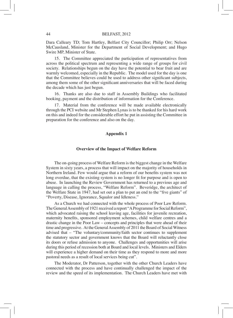Dara Calleary TD; Tom Hartley, Belfast City Councillor; Philip Orr; Nelson McCausland, Minister for the Department of Social Development; and Hugo Swire MP, Minister of State.

15. The Committee appreciated the participation of representatives from across the political spectrum and representing a wide range of groups for civil society. Relationships begun on the day have the potential to bear fruit and are warmly welcomed, especially in the Republic. The model used for the day is one that the Committee believes could be used to address other significant subjects, among them some of the other significant anniversaries that will be faced during the decade which has just begun.

16. Thanks are also due to staff in Assembly Buildings who facilitated booking, payment and the distribution of information for the Conference.

17. Material from the conference will be made available electronically through the PCI website and Mr Stephen Lynas is to be thanked for his hard work on this and indeed for the considerable effort he put in assisting the Committee in preparation for the conference and also on the day.

#### **Appendix 1**

#### **Overview of the Impact of Welfare Reform**

The on-going process of Welfare Reform isthe biggest change in the Welfare System in sixty years, a process that will impact on the majority of households in Northern Ireland. Few would argue that a reform of our benefits system was not long overdue, that the existing system is no longer fit for purpose and is open to abuse. In launching the Review Government has returned to a previous age and language in calling the process, "Welfare Reform". Beveridge, the architect of the Welfare State in 1947, had set out a plan to put an end to the "five giants" of "Poverty, Disease, Ignorance, Squalor and Idleness."

As a Church we had connected with the whole process of Poor Law Reform. The General Assembly of 1921 received a report "A Programme for Social Reform", which advocated raising the school leaving age, facilities for juvenile recreation, maternity benefits, sponsored employment schemes, child welfare centres and a drastic change in the Poor Law – concepts and principles that were ahead of their time and progressive. At the General Assembly of 2011 the Board of Social Witness advised that – "The voluntary/community/faith sector continues to supplement the statutory sector and government knows that the Board will reluctantly close its doors or refuse admission to anyone. Challenges and opportunities will arise during this period of recession both at Board and local levels. Ministers and Elders will experience a higher demand on their time as they respond to more and more pastoral needs as a result of local services being cut".

The Moderator, Dr Patterson, together with the other Church Leaders have connected with the process and have continually challenged the impact of the review and the speed of its implementation. The Church Leaders have met with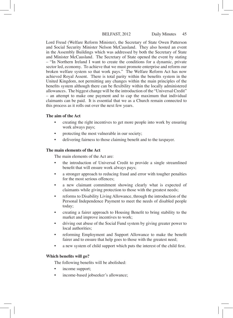Lord Freud (Welfare Reform Minister), the Secretary of State Owen Patterson and Social Security Minister Nelson McCausland. They also hosted an event in the Assembly Buildings which was addressed by both the Secretary of State and Minister McCausland. The Secretary of State opened the event by stating – "In Northern Ireland I want to create the conditions for a dynamic, private sector led, economy. To achieve that we must promote enterprise and reform our broken welfare system so that work pays." The Welfare Reform Act has now achieved Royal Assent. There is total parity within the benefits system in the United Kingdom, not permitting any changes within the main principles of the benefits system although there can be flexibility within the locally administered allowances. The biggest change will be the introduction of the "Universal Credit" – an attempt to make one payment and to cap the maximum that individual claimants can be paid. It is essential that we as a Church remain connected to this process as it rolls out over the next few years.

# **The aim of the Act**

- creating the right incentives to get more people into work by ensuring work always pays;
- protecting the most vulnerable in our society;
- delivering fairness to those claiming benefit and to the taxpayer.

# **The main elements of the Act**

The main elements of the Act are:

- the introduction of Universal Credit to provide a single streamlined benefit that will ensure work always pays;
- a stronger approach to reducing fraud and error with tougher penalties for the most serious offences;
- • a new claimant commitment showing clearly what is expected of claimants while giving protection to those with the greatest needs;
- reforms to Disability Living Allowance, through the introduction of the Personal Independence Payment to meet the needs of disabled people today;
- creating a fairer approach to Housing Benefit to bring stability to the market and improve incentives to work;
- driving out abuse of the Social Fund system by giving greater power to local authorities;
- reforming Employment and Support Allowance to make the benefit fairer and to ensure that help goes to those with the greatest need;
- a new system of child support which puts the interest of the child first.

# **Which benefits will go?**

The following benefits will be abolished:

- income support;
- income-based jobseeker's allowance;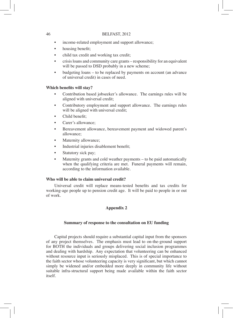- income-related employment and support allowance;
- housing benefit;
- child tax credit and working tax credit;
- crisis loans and community care grants responsibility for an equivalent will be passed to DSD probably in a new scheme;
- budgeting loans to be replaced by payments on account (an advance of universal credit) in cases of need.

# **Which benefits will stay?**

- Contribution based jobseeker's allowance. The earnings rules will be aligned with universal credit;
- Contributory employment and support allowance. The earnings rules will be aligned with universal credit;
- Child benefit:
- Carer's allowance:
- Bereavement allowance, bereavement payment and widowed parent's allowance;
- Maternity allowance;
- Industrial injuries disablement benefit;
- Statutory sick pay;
- Maternity grants and cold weather payments to be paid automatically when the qualifying criteria are met. Funeral payments will remain, according to the information available.

# **Who will be able to claim universal credit?**

Universal credit will replace means-tested benefits and tax credits for working-age people up to pension credit age. It will be paid to people in or out of work.

# **Appendix 2**

# **Summary of response to the consultation on EU funding**

Capital projects should require a substantial capital input from the sponsors of any project themselves. The emphasis must lead to on-the-ground support for BOTH the individuals and groups delivering social inclusion programmes and dealing with hardship. Any expectation that volunteering can be enhanced without resource input is seriously misplaced. This is of special importance to the faith sector whose volunteering capacity is very significant, but which cannot simply be widened and/or embedded more deeply in community life without suitable infra-structural support being made available within the faith sector itself.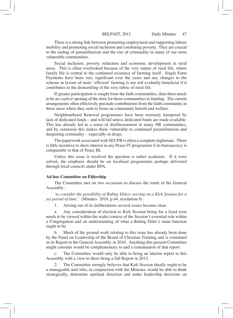There is a strong link between promoting employment and supporting labour mobility and promoting social inclusion and combating poverty. They are crucial to the ending of paramilitarism and the rise of criminality in many of our most vulnerable communities.

Social inclusion, poverty reduction and economic development in rural areas. This is often overlooked because of the very nature of rural life, where family life is central to the continued existence of farming itself. Single Farm Payments have been very significant over the years and any changes to the scheme in favour of more 'efficient' farming is not self evidently beneficial if it contributes to the dismantling of the very fabric of rural life.

If greater participation is sought from the faith communities, then there needs to be an *explicit* opening of the door for those communities to funding. The current arrangements often effectively preclude contributions from the faith community in those areas where they seek to focus on community benefit and welfare.

Neighbourhood Renewal programmes have been seriously hampered by lack of dedicated funds – and will fail unless dedicated funds are made available. This has already led to a sense of disillusionment in many NR communities, and by extension this makes them vulnerable to continued paramilitarism and deepening criminality – especially in drugs.

The paperwork associated with SEUPB is often a complete nightmare. There is little incentive to show interest in any Peace IV programme if its bureaucracy is comparable to that of Peace III.

Unless this issue is resolved the question is rather academic. If it were solved, the emphasis should be on localised programmes perhaps delivered through local councils under RPA.

#### **Ad hoc Committee on Eldership**

The Committee met on two occasions to discuss the remit of the General Assembly :

*'to consider the possibility of Ruling Elders serving on a Kirk Session for a set period of time.'* (Minutes 2010, p.44, resolution 8)

1. Arising out of its deliberations several issues became clear.

a. Any consideration of election to Kirk Session being for a fixed term needs to be viewed within the wider context of the Session's essential role within a Congregation and an understanding of what a Ruling Elder's main function ought to be.

b. Much of the ground work relating to this issue has already been done by the Panel on Leadership of the Board of Christian Training and is contained in its Report to the General Assembly in 2010. Anything this present Committee might consider would be complementary to and a continuation of that report.

c. The Committee would only be able to bring an interim report to this Assembly with a view to there being a full Report in 2013.

The Committee strongly believes that Kirk Session ideally ought to be a manageable unit who, in conjunction with the Minister, would be able to think strategically, determine spiritual direction and make leadership decisions on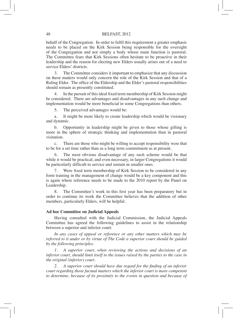behalf of the Congregation. In order to fulfil this requirement a greater emphasis needs to be placed on the Kirk Session being responsible for the oversight of the Congregation and not simply a body whose main function is pastoral. The Committee fears that Kirk Sessions often hesitate to be proactive in their leadership and the reason for electing new Elders usually arises out of a need to service Elders' districts.

3. The Committee considers it important to emphasize that any discussion on these matters would only concern the role of the Kirk Session and that of a Ruling Elder. The office of the Eldership and the Elder's pastoral responsibilities should remain as presently constituted.

4. In the pursuit of thisideal fixed term membership of Kirk Session might be considered. There are advantages and disadvantages in any such change and implementation would be more beneficial in some Congregations than others.

5. The perceived advantages would be:

a. It might be more likely to create leadership which would be visionary and dynamic.

b. Opportunity in leadership might be given to those whose gifting is more in the sphere of strategic thinking and implementation than in pastoral visitation.

c. There are those who might be willing to accept responsibility were that to be for a set time rather than as a long term commitment as at present.

6. The most obvious disadvantage of any such scheme would be that while it would be practical, and even necessary, in larger Congregations it would be particularly difficult to service and sustain in smaller ones.

7. Were fixed term membership of Kirk Session to be considered in any form training in the management of change would be a key component and this is again where reference needs to be made to the 2010 report by the Panel on Leadership.

8. The Committee's work in this first year has been preparatory but in order to continue its work the Committee believes that the addition of other members, particularly Elders, will be helpful.

### **Ad hoc Committee on Judicial Appeals**

Having consulted with the Judicial Commission, the Judicial Appeals Committee has agreed the following guidelines to assist in the relationship between a superior and inferior court:

*In any cases of appeal or reference or any other matters which may be referred to it under or by virtue of The Code a superior court should be guided by the following principles.*

*1. A superior court, when reviewing the actions and decisions of an inferior court, should limit itself to the issues raised by the parties to the case in the original (inferior) court.*

*2. A superior court should have due regard for the finding of an inferior court regarding those factual matters which the inferior court is more competent to determine, because of its proximity to the events in question and because of*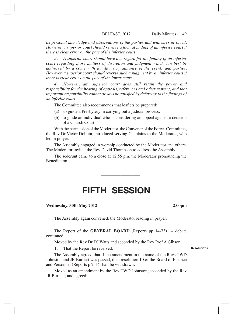*its personal knowledge and observations of the parties and witnesses involved. However, a superior court should reverse a factual finding of an inferior court if there is clear error on the part of the inferior court.*

*3. A superior court should have due regard for the finding of an inferior court regarding those matters of discretion and judgment which can best be addressed by a court with familiar acquaintance of the events and parties. However, a superior court should reverse such a judgment by an inferior court if there is clear error on the part of the lower court.*

*4. However, any superior court does still retain the power and responsibility for the hearing of appeals, references and other matters, and that important responsibility cannot always be satisfied by deferring to the findings of an inferior court.*

The Committee also recommends that leaflets be prepared:

- (a) to guide a Presbytery in carrying out a judicial process;
- (b) to guide an individual who is considering an appeal against a decision of a Church Court.

With the permission of the Moderator, the Convener of the Forces Committee, the Rev Dr Victor Dobbin, introduced serving Chaplains to the Moderator, who led in prayer.

The Assembly engaged in worship conducted by the Moderator and others. The Moderator invited the Rev David Thompson to address the Assembly.

The sederunt came to a close at 12.55 pm, the Moderator pronouncing the **Benediction** 

\_\_\_\_\_\_\_\_\_\_\_\_\_\_\_\_\_\_

# FIFTH SESSION

#### **Wednesday, 30th May 2012 2.00pm**

The Assembly again convened, the Moderator leading in prayer.

The Report of the **GENERAL BOARD** (Reports pp 14-73) – debate continued.

Moved by the Rev Dr DJ Watts and seconded by the Rev Prof A Gibson:

1. That the Report be received.

The Assembly agreed that if the amendment in the name of the Revs TWD Johnston and JR Burnett was passed, then resolution 10 of the Board of Finance and Personnel (Reports p 251) shall be withdrawn.

Moved as an amendment by the Rev TWD Johnston, seconded by the Rev JR Burnett, and agreed:

#### **Resolutions**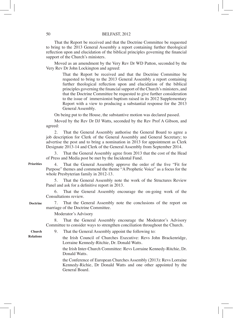That the Report be received and that the Doctrine Committee be requested to bring to the 2013 General Assembly a report containing further theological reflection upon and elucidation of the biblical principles governing the financial support of the Church's ministers.

Moved as an amendment by the Very Rev Dr WD Patton, seconded by the Very Rev Dr John Lockington and agreed:

> That the Report be received and that the Doctrine Committee be requested to bring to the 2013 General Assembly a report containing further theological reflection upon and elucidation of the biblical principles governing the financial support of the Church's ministers, and that the Doctrine Committee be requested to give further consideration to the issue of immersionist baptism raised in its 2012 Supplementary Report with a view to producing a substantial response for the 2013 General Assembly.

On being put to the House, the substantive motion was declared passed.

Moved by the Rev Dr DJ Watts, seconded by the Rev Prof A Gibson, and agreed:

2. That the General Assembly authorise the General Board to agree a job description for Clerk of the General Assembly and General Secretary; to advertise the post and to bring a nomination in 2013 for appointment as Clerk Designate 2013-14 and Clerk of the General Assembly from September 2014.

3. That the General Assembly agree from 2013 that the cost of the Head of Press and Media post be met by the Incidental Fund.

**Priorities**

4. That the General Assembly approve the order of the five "Fit for Purpose" themes and commend the theme "A Prophetic Voice" as a focus for the whole Presbyterian family in 2012-13.

5. That the General Assembly note the work of the Structures Review Panel and ask for a definitive report in 2013.

6. That the General Assembly encourage the on-going work of the Consultations review.

**Doctrine**

**Relations**

7. That the General Assembly note the conclusions of the report on marriage of the Doctrine Committee.

Moderator's Advisory

8. That the General Assembly encourage the Moderator's Advisory Committee to consider ways to strengthen conciliation throughout the Church.

9. That the General Assembly appoint the following to: **Church** 

> the Irish Council of Churches Executive: Revs John Brackenridge, Lorraine Kennedy-Ritchie, Dr. Donald Watts.

 the Irish Inter-Church Committee: Revs Lorraine Kennedy-Ritchie, Dr. Donald Watts.

 the Conference of European Churches Assembly (2013): Revs Lorraine Kennedy-Richie, Dr Donald Watts and one other appointed by the General Board.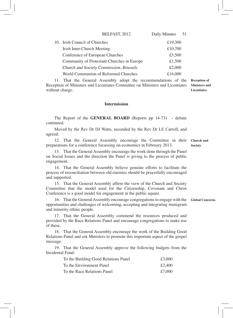| BELFAST, 2012                              | Daily Minutes | 51 |
|--------------------------------------------|---------------|----|
| 10. Irish Council of Churches              | £19,300       |    |
| Irish Inter-Church Meeting                 | £10,700       |    |
| Conference of European Churches            | £5,500        |    |
| Community of Protestant Churches in Europe | £1,500        |    |
| Church and Society Commission, Brussels    | £2,000        |    |
| World Communion of Reformed Churches       | £16,000       |    |

11. That the General Assembly adopt the recommendations of the Reception of Ministers and Licentiates Committee on Ministers and Licentiates without charge. **Reception of Ministers and Licentiates**

# **Intermission**

The Report of the **GENERAL BOARD** (Reports pp 14-73) – debate continued.

Moved by the Rev Dr DJ Watts, seconded by the Rev Dr LE Carroll, and agreed:

12. That the General Assembly encourage the Committee in their preparations for a conference focussing on economics in February 2013. **Church and Society**

13. That the General Assembly encourage the work done through the Panel on Social Issues and the direction the Panel is giving to the process of public engagement.

14. That the General Assembly believe genuine efforts to facilitate the process of reconciliation between old enemies should be prayerfully encouraged and supported.

15. That the General Assembly affirm the view of the Church and Society Committee that the model used for the Citizenship, Covenant and Christ Conference is a good model for engagement in the public square.

16. That the General Assembly encourage congregations to engage with the opportunities and challenges of welcoming, accepting and integrating immigrant and minority ethnic people. **Global Concerns**

17. That the General Assembly commend the resources produced and provided by the Race Relations Panel and encourage congregations to make use of these.

18. That the General Assembly encourage the work of the Building Good Relations Panel and ask Ministers to promote this important aspect of the gospel message.

19. That the General Assembly approve the following budgets from the Incidental Fund:

| To the Building Good Relations Panel | £3,000 |
|--------------------------------------|--------|
| To the Environment Panel             | £2.400 |
| To the Race Relations Panel          | £7.000 |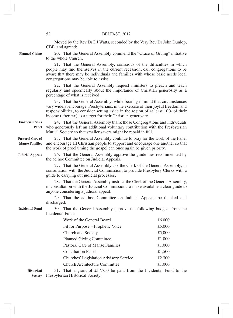Moved by the Rev Dr DJ Watts, seconded by the Very Rev Dr John Dunlop, CBE, and agreed:

**Planned Giving**

20. That the General Assembly commend the "Grace of Giving" initiative to the whole Church.

21. That the General Assembly, conscious of the difficulties in which people may find themselves in the current recession, call congregations to be aware that there may be individuals and families with whose basic needs local congregations may be able to assist.

22. That the General Assembly request ministers to preach and teach regularly and specifically about the importance of Christian generosity as a percentage of what is received.

23. That the General Assembly, while bearing in mind that circumstances vary widely, encourage Presbyterians, in the exercise of their joyful freedom and responsibilities, to consider setting aside in the region of at least 10% of their income (after tax) as a target for their Christian generosity.

24. That the General Assembly thank those Congregations and individuals who generously left an additional voluntary contribution with the Presbyterian Mutual Society so that smaller savers might be repaid in full. **Financial Crisis Panel**

25. That the General Assembly continue to pray for the work of the Panel and encourage all Christian people to support and encourage one another so that the work of proclaiming the gospel can once again be given priority. **Pastoral Care of Manse Families**

**Judicial Appeals**

26. That the General Assembly approve the guidelines recommended by the ad hoc Committee on Judicial Appeals.

27. That the General Assembly ask the Clerk of the General Assembly, in consultation with the Judicial Commission, to provide Presbytery Clerks with a guide to carrying out judicial processes.

28. That the General Assembly instruct the Clerk of the General Assembly, in consultation with the Judicial Commission, to make available a clear guide to anyone considering a judicial appeal.

29. That the ad hoc Committee on Judicial Appeals be thanked and discharged.

**Incidental Fund**

30. That the General Assembly approve the following budgets from the Incidental Fund:

| Work of the General Board              | £6,000 |
|----------------------------------------|--------|
| Fit for Purpose – Prophetic Voice      | £5,000 |
| Church and Society                     | £5,000 |
| <b>Planned Giving Committee</b>        | £1,000 |
| Pastoral Care of Manse Families        | £1,000 |
| <b>Conciliation Panel</b>              | £1,500 |
| Churches' Legislation Advisory Service | £2,300 |
| <b>Church Architecture Committee</b>   | £1,000 |
|                                        |        |

31. That a grant of  $£17,750$  be paid from the Incidental Fund to the Presbyterian Historical Society. **SocietyHistorical**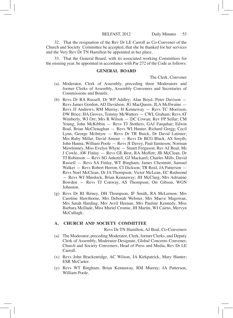32. That the resignation of the Rev Dr LE Carroll as Co-Convener of the Church and Society Committee be accepted, that she be thanked for her services and the Very Rev Dr TN Hamilton be appointed in her place.

33. That the General Board, with its associated working Committees for the ensuing year, be appointed in accordance with Par 272 of the Code as follows:

#### **GENERAL BOARD**

The Clerk, Convener

- (a) Moderator, Clerk of Assembly, preceding three Moderators and former Clerks of Assembly, Assembly Conveners and Secretaries of Commissions and Boards.
- (b) Revs Dr RA Russell, Dr WP Addley; Alan Boyd, Peter Davison Revs James Gordon, AD Davidson; JG MacQueen, JLA McIlwaine — Revs JJ Andrews, RM Murray; H Kenneway — Revs TC Morrison, DW Brice; HA Groves, Tommy McWatters — CWL Graham; Revs AT Wimberly, WJ Orr; Mrs R Wilson — DC Cowan; Rev FP Sellar; CM Young, John McKibbin — Revs TJ Stothers, GAJ Farquhar; Edwin Boal, Brian McClenaghan — Revs WI Hunter, Richard Gregg; Cecil Lynn, George McIntyre — Revs Dr TR Buick, Dr David Latimer; Mrs Ruby Millar, David Amour — Revs Dr BCG Black, AS Smyth; John Hanna, William Poole — Revs JI Davey, Paul Jamieson; Norman Mawhinney, Miss Evelyn Whyte — Stuart Ferguson; Rev AJ Boal; Ms J Cowle, AW Finlay — Revs GE Best, RA Moffett; JB McClean, Dr TJ Robinson — Revs SG Anketell, GJ Mackarel; Charles Mills, David Russell — Revs SA Finlay, WT Bingham; James Chestnutt, Samuel Walker — Revs Robert Herron, CI Dickson; TR Reid, JA Patterson — Revs Noel McClean, Dr JA Thompson; Victor McLean, EC Redmond — Revs WJ Murdock, Brian Kennaway; JH McClurg, Mrs Adrianne Bowden — Revs TJ Conway, AS Thompson; Orr Gibson, WGN Johnston.
- (g) Revs Dr RI Birney, DH Thompson, IF Smith, RA McLernon; Mrs Caroline Hawthorne, Mrs Deborah Webster, Mrs Maeve Magowan, Mrs Sarah Harding, Mrs Avril Heenan, Mrs Pauline Kennedy, Miss Barbara McDade, Miss Muriel Cromie, JH Martin, WJ Cairns, Mervyn McCullagh.

# **A. CHURCH AND SOCIETY COMMITTEE**

Revs Dr TN Hamilton, AJ Boal, Co-Conveners

- (a) The Moderator, preceding Moderator, Clerk, former Clerks, and Deputy Clerk of Assembly, Moderator-Designate, Global Concerns Convener, Church and Society Conveners, Head of Press and Media, Rev Dr LE Carroll.
- (x) Revs John Brackenridge, AC Wilson, JA Kirkpatrick, Mary Hunter; ESR McCarter.
- (y) Revs WT Bingham, Brian Kennaway, RM Murray; JA Patterson, William Poole.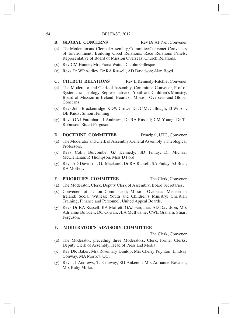### **B. GLOBAL CONCERNS** Rev Dr AF Nel, Convener

- (a) The Moderator and Clerk of Assembly, Committee Convener, Conveners of Environment, Building Good Relations, Race Relations Panels, Representative of Board of Mission Overseas, Church Relations.
- (x) Rev CM Hunter; Mrs Fiona Watts, Dr John Gillespie.
- (y) Revs Dr WP Addley, Dr RA Russell, AD Davidson; Alan Boyd.
- **C. CHURCH RELATIONS** Rev L Kennedy-Ritchie, Convener
- (a) The Moderator and Clerk of Assembly, Committee Convener, Prof of Systematic Theology, Representative of Youth and Children's Ministry, Board of Mission in Ireland, Board of Mission Overseas and Global Concerns.
- (x) Revs John Brackenridge, KDW Crowe, Dr JC McCullough, TJ Wilson, DB Knox, Simon Henning.
- (y) Revs GAJ Farquhar, JJ Andrews, Dr RA Russell; CM Young, Dr TJ Robinson, Stuart Ferguson.

# **D. DOCTRINE COMMITTEE** Principal, UTC, Convener

- (a) The Moderator and Clerk of Assembly, General Assembly's Theological Professors.
- (x) Revs Colin Burcombe, GJ Kennedy, SD Finlay, Dr Michael McClenahan; R Thompson, Miss D Ford.
- (y) Revs AD Davidson, GJ Mackarel, Dr RA Russell, SA Finlay, AJ Boal, RA Moffett.

# **E. PRIORITIES COMMITTEE** The Clerk, Convener

- (a) The Moderator, Clerk, Deputy Clerk of Assembly, Board Secretaries.
- (x) Conveners of: Union Commission; Mission Overseas, Mission in Ireland; Social Witness; Youth and Children's Ministry; Christian Training; Finance and Personnel; United Appeal Boards.
- (y) Revs Dr RA Russell, RA Moffett, GAJ Farquhar, AD Davidson; Mrs Adrianne Bowden, DC Cowan, JLA McIlwaine, CWL Graham, Stuart Ferguson.

# **F. MODERATOR'S ADVISORY COMMITTEE**

The Clerk, Convener

- (a) The Moderator, preceding three Moderators, Clerk, former Clerks, Deputy Clerk of Assembly, Head of Press and Media.
- (x) Rev DR Baker; Mrs Rosemary Dunlop, Mrs Cherry Poynton, Lindsay Conway, MA Morrow QC.
- (y) Revs JJ Andrews, TJ Conway, SG Anketell; Mrs Adrianne Bowden, Mrs Ruby Millar.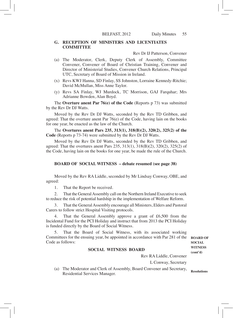# **G. RECEPTION OF MINISTERS AND LICENTIATES COMMITTEE**

Rev Dr IJ Patterson, Convener

- (a) The Moderator, Clerk, Deputy Clerk of Assembly, Committee Convener, Convener of Board of Christian Training, Convener and Director of Ministerial Studies, Convener Church Relations, Principal UTC, Secretary of Board of Mission in Ireland.
- (x) Revs KWJ Hanna, SD Finlay, SS Johnston, Lorraine Kennedy-Ritchie; David McMullan, Miss Anne Taylor.
- (y) Revs SA Finlay, WJ Murdock, TC Morrison, GAJ Farquhar; Mrs Adrianne Bowden, Alan Boyd.

The **Overture anent Par 76(e) of the Code** (Reports p 73) was submitted by the Rev Dr DJ Watts.

Moved by the Rev Dr DJ Watts, seconded by the Rev TD Gribben, and agreed: That the overture anent Par 76(e) of the Code, having lain on the books for one year, be enacted as the law of the Church.

The **Overtures anent Pars 235, 313(1), 318(B)(2), 320(2), 325(2) of the Code** (Reports p 73-74) were submitted by the Rev Dr DJ Watts.

Moved by the Rev Dr DJ Watts, seconded by the Rev TD Gribben, and agreed: That the overtures anent Pars 235, 313(1), 318(B)(2), 320(2), 325(2) of the Code, having lain on the books for one year, be made the rule of the Church.

#### **BOARD OF SOCIAL WITNESS – debate resumed (see page 38)**

Moved by the Rev RA Liddle, seconded by Mr Lindsay Conway, OBE, and agreed:

1. That the Report be received.

2. That the General Assembly call on the Northern Ireland Executive to seek to reduce the risk of potential hardship in the implementation of Welfare Reform.

That the General Assembly encourage all Ministers, Elders and Pastoral Carers to follow strict Hospital Visiting protocols.

4. That the General Assembly approve a grant of £6,500 from the Incidental Fund for the PCI Holiday and instruct that from 2013 the PCI Holiday is funded directly by the Board of Social Witness.

That the Board of Social Witness, with its associated working Committees for the ensuing year, be appointed in accordance with Par 281 of the Code as follows:

### **SOCIAL WITNESS BOARD**

Rev RA Liddle, Convener

L Conway, Secretary

(a) The Moderator and Clerk of Assembly, Board Convener and Secretary, Residential Services Manager.

**BOARD OF SOCIAL WITNESS (cont'd)**

**Resolutions**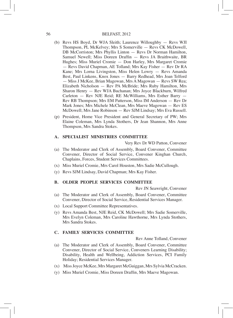- (b) Revs HS Boyd, Dr WJA Sleith; Laurence Willoughby Revs WJI Thompson, PL McKelvey; Mrs S Somerville — Revs CK McDowell, DB McCorriston; Mrs Phyllis Linton — Revs Dr Norman Hamilton, Samuel Newell; Miss Doreen Draffin — Revs JA Braithwaite, BR Hughes; Miss Muriel Cromie — Don Harley, Mrs Margaret Cromie — Revs David Chapman, AE Tolland; Mrs Kay Fisher — Rev Dr RA Kane; Mrs Lorna Livingston, Miss Helen Lowry — Revs Amanda Best, Paul Linkens, Knox Jones — Barry Redhead, Mrs Joan Telford — Miss J McKee, Brian Magowan, Mrs A Magowan — Revs SW Rea; Elizabeth Nicholson — Rev PA McBride; Mrs Ruby Hamilton, Mrs Sharon Henry — Rev WJA Buchanan; Mrs Joyce Blackburn, Wilfred Carleton — Rev NJE Reid; RE McWilliams, Mrs Esther Barry — Rev RB Thompson; Mrs EM Patterson, Miss IM Anderson — Rev Dr Mark Jones; Mrs Michele McClean, Mrs Maeve Magowan — Rev ES McDowell; Mrs Jane Robinson — Rev SJM Lindsay; Mrs Eva Russell.
- (p) President, Home Vice President and General Secretary of PW; Mrs Elaine Coleman, Mrs Lynda Stothers, Dr Jean Shannon, Mrs Anne Thompson, Mrs Sandra Stokes.

### **A. SPECIALIST MINISTRIES COMMITTEE**

Very Rev Dr WD Patton, Convener

- (a) The Moderator and Clerk of Assembly, Board Convener, Committee Convener, Director of Social Service, Convener Kinghan Church, Chaplains, Forces, Student Services Committees.
- (x) Miss Muriel Cromie, Mrs Carol Houston, Mrs Sadie McCullough.
- (y) Revs SJM Lindsay, David Chapman; Mrs Kay Fisher.

# **B. OLDER PEOPLE SERVICES COMMITTEE**

Rev JN Seawright, Convener

- (a) The Moderator and Clerk of Assembly, Board Convener, Committee Convener, Director of Social Service, Residential Services Manager.
- (x) Local Support Committee Representatives.
- (y) Revs Amanda Best, NJE Reid, CK McDowell; Mrs Sadie Somerville, Mrs Evelyn Coleman, Mrs Caroline Hawthorne, Mrs Lynda Stothers, Mrs Sandra Stokes.

### **C. FAMILY SERVICES COMMITTEE**

Rev Anne Tolland, Convener

- (a) The Moderator and Clerk of Assembly, Board Convener, Committee Convener, Director of Social Service, Conveners Learning Disability; Disability, Health and Wellbeing, Addiction Services, PCI Family Holiday; Residential Services Manager.
- (x) Miss Joyce McKee, Mrs Margaret McGuiggan, Mrs Sylvia McCracken.
- (y) Miss Muriel Cromie, Miss Doreen Draffin, Mrs Maeve Magowan.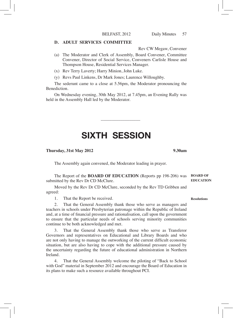# **D. ADULT SERVICES COMMITTEE**

Rev CW Megaw, Convener

- (a) The Moderator and Clerk of Assembly, Board Convener, Committee Convener, Director of Social Service, Conveners Carlisle House and Thompson House, Residential Services Manager.
- (x) Rev Terry Laverty; Harry Minion, John Luke.
- (y) Revs Paul Linkens, Dr Mark Jones; Laurence Willoughby.

The sederunt came to a close at 5.56pm, the Moderator pronouncing the Benediction.

On Wednesday evening, 30th May 2012, at 7.45pm, an Evening Rally was held in the Assembly Hall led by the Moderator.

# SIXTH SESSION

\_\_\_\_\_\_\_\_\_\_\_\_\_\_\_\_\_\_

### **Thursday, 31st May 2012 9.30am**

The Assembly again convened, the Moderator leading in prayer.

The Report of the **BOARD OF EDUCATION** (Reports pp 198-206) was **BOARD OF**  submitted by the Rev Dr CD McClure. **EDUCATION**

Moved by the Rev Dr CD McClure, seconded by the Rev TD Gribben and agreed:

1. That the Report be received.

2. That the General Assembly thank those who serve as managers and teachers in schools under Presbyterian patronage within the Republic of Ireland and, at a time of financial pressure and rationalisation, call upon the government to ensure that the particular needs of schools serving minority communities continue to be both acknowledged and met.

3. That the General Assembly thank those who serve as Transferor Governors and representatives on Educational and Library Boards and who are not only having to manage the outworking of the current difficult economic situation, but are also having to cope with the additional pressure caused by the uncertainty regarding the future of educational administration in Northern Ireland.

4. That the General Assembly welcome the piloting of "Back to School with God" material in September 2012 and encourage the Board of Education in its plans to make such a resource available throughout PCI.

#### **Resolutions**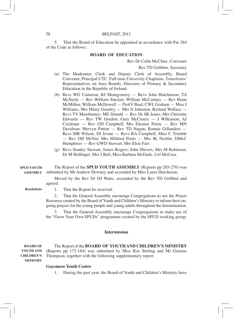5. That the Board of Education be appointed in accordance with Par 284 of the Code as follows:

# **BOARD OF EDUCATION**

Rev Dr Colin McClure, Convener

Rev TD Gribben, Secretary

- (a) The Moderator, Clerk and Deputy Clerk of Assembly, Board Convener, Principal UTC, Full-time University Chaplains, Transferors' Representatives on Area Boards, Directors of Primary & Secondary Education in the Republic of Ireland.
- (b) Revs WG Cameron, RJ Montgomery Revs John Hutchinson, TA McNeely — Rev William Sinclair; William McCartney — Rev Brian McMillen; William McDowell — Prof F Boal, CWL Graham — Miss J Williams, Mrs Hilary Gourley — Mrs N Johnston, Richard Wallace — Revs TV Mawhinney; ME Donald — Rev Dr SR Jones; Mrs Christine Edwards — Rev TW Gordon; Gary McCreery — J Wilkinson, AJ Cochrane — Rev GD Campbell; Mrs Eleanor Petrie — Rev MN Davidson; Mervyn Patton — Rev TD Hagan; Ronnie Gillanders — Revs MB Wilson, DJ Irvine — Revs RA Campbell, Miss C Trimble — Rev DIJ McNie; Mrs Mildred Poots — Mrs IK Nesbitt, DMcC Humphries — Rev GWD Stewart; Mrs Elsie Farr.
- (g) Revs Stanley Stewart, James Rogers; John Shivers, Mrs M Robinson, Dr M Hollinger, Mrs J Bell, Miss Barbara McDade, Uel McCrea.

The Report of the **SPUD YOUTH ASSEMBLY** (Reports pp 265-270) was submitted by Mr Andrew Downey and seconded by Miss Laura Hutcheson. **SPUD YOUTH ASSEMBLY**

> Moved by the Rev Dr DJ Watts, seconded by the Rev TD Gribben and agreed:

**Resolutions**

1. That the Report be received.

2. That the General Assembly encourage Congregations to use the Prayer Resource created by the Board of Youth and Children's Ministry to inform their ongoing prayers for the young people and young adults throughout the denomination.

3. That the General Assembly encourage Congregations to make use of the "Grow Your Own SPUDs" programme created by the SPUD working group.

# **Intermission**

The Report of the **BOARD OF YOUTH AND CHILDREN'S MINISTRY**  (Reports pp 172-184) was submitted by Miss Roz Stirling and Mr Graeme Thompson, together with the following supplementary report: **BOARD OF YOUTH AND CHILDREN'S MINISTRY**

### **Guysmere Youth Centre**

1. During the past year, the Board of Youth and Children's Ministry have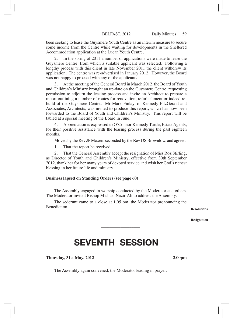been seeking to lease the Guysmere Youth Centre as an interim measure to secure some income from the Centre while waiting for developments in the Sheltered Accommodation application at the Lucan Youth Centre.

In the spring of 2011 a number of applications were made to lease the Guysmere Centre, from which a suitable applicant was selected. Following a lengthy process with this client in late November 2011 the client withdrew its application. The centre was re-advertised in January 2012. However, the Board was not happy to proceed with any of the applicants.

3. At the meeting of the General Board in March 2012, the Board of Youth and Children's Ministry brought an up-date on the Guysmere Centre, requesting permission to adjourn the leasing process and invite an Architect to prepare a report outlining a number of routes for renovation, refurbishment or indeed rebuild of the Guysmere Centre. Mr Mark Finlay, of Kennedy FitzGerald and Associates, Architects, was invited to produce this report, which has now been forwarded to the Board of Youth and Children's Ministry. This report will be tabled at a special meeting of the Board in June.

4. Appreciation is expressed to O'Connor Kennedy Turtle, Estate Agents, for their positive assistance with the leasing process during the past eighteen months.

Moved by the Rev JP Moxen, seconded by the Rev DS Brownlow, and agreed:

1. That the report be received.

2. That the General Assembly accept the resignation of Miss Roz Stirling, as Director of Youth and Children's Ministry, effective from 30th September 2012, thank her for her many years of devoted service and wish her God's richest blessing in her future life and ministry.

# **Business lapsed on Standing Orders (see page 60)**

The Assembly engaged in worship conducted by the Moderator and others. The Moderator invited Bishop Michael Nazir-Ali to address the Assembly.

The sederunt came to a close at 1.05 pm, the Moderator pronouncing the **Benediction** 

**Resolutions**

**Resignation**

# SEVENTH SESSION

\_\_\_\_\_\_\_\_\_\_\_\_\_\_\_\_\_\_

**Thursday, 31st May, 2012 2.00pm**

The Assembly again convened, the Moderator leading in prayer.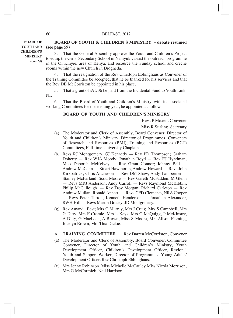**BOARD OF YOUTH AND CHILDREN'S MINISTRY (cont'd)**

# **BOARD OF YOUTH & CHILDREN'S MINISTRY – debate resumed (see page 59)**

3. That the General Assembly approve the Youth and Children's Project to equip the Girls' Secondary School in Naniyuki, assist the outreach programme in the Ol Kinyiei area of Kenya, and resource the Sunday school and crèche rooms within the new Church in Drogheda.

4. That the resignation of the Rev Christoph Ebbinghaus as Convener of the Training Committee be accepted, that he be thanked for his services and that the Rev DB McCorriston be appointed in his place.

5. That a grant of £9,736 be paid from the Incidental Fund to Youth Link: NI.

6. That the Board of Youth and Children's Ministry, with its associated working Committees for the ensuing year, be appointed as follows:

# **BOARD OF YOUTH AND CHILDREN'S MINISTRY**

Rev JP Moxen, Convener

Miss R Stirling, Secretary

- (a) The Moderator and Clerk of Assembly, Board Convener, Director of Youth and Children's Ministry, Director of Programmes, Conveners of Research and Resources (BMI), Training and Resources (BCT) Committees, Full-time University Chaplains.
- (b) Revs RJ Montgomery, GJ Kennedy Rev PD Thompson; Graham Doherty — Rev WJA Moody; Jonathan Boyd — Rev EJ Hyndman; Miss Deborah McKelvey — Rev Grant Connor; Johnny Bell — Andrew McCann — Stuart Hawthorne, Andrew Howard — Revs John Kirkpatrick, Chris Aitcheson — Rev DM Shaw; Andy Lamberton — Stanley McFarland, Scott Moore — Rev Gareth McFadden; M Glenn — Revs MRJ Anderson, Andy Carroll — Revs Raymond McKibbin, Philip McCullough, — Rev Troy Morgan; Richard Carleton — Rev Andrew Mullan; Ronald Annett, — Revs CFD Clements, NRA Cooper — Revs Peter Turton, Kenneth Henderson — Jonathan Alexander, RWH Hill — Revs Martin Gracey, JD Montgomery.
- (g) Rev Amanda Best; Mrs C Murray, Mrs J Craig, Mrs S Campbell, Mrs G Ditty, Mrs F Cromie, Mrs L Keys, Mrs C McQuigg, P McKinstry, A Ditty, G MacLean, A Brown, Miss S Moore, Mrs Alison Fleming, Jocelyn Brown, Mrs Thia Dickie.
- **A. TRAINING COMMITTEE** Rev Darren McCorriston, Convener
- (a) The Moderator and Clerk of Assembly, Board Convener, Committee Convener, Director of Youth and Children's Ministry, Youth Development Officer, Children's Development Officer, Regional Youth and Support Worker, Director of Programmes, Young Adults' Development Officer, Rev Christoph Ebbinghaus.
- (x) Mrs Jenny Robinson, Miss Michelle McCauley Miss Nicola Morrison, Mrs G McCormick, Neil Harrison.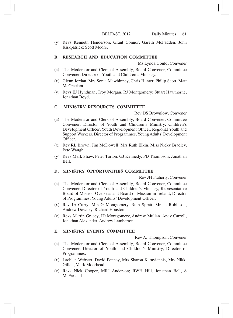(y) Revs Kenneth Henderson, Grant Connor, Gareth McFadden, John Kirkpatrick; Scott Moore.

# **B. RESEARCH AND EDUCATION COMMITTEE**

Ms Lynda Gould, Convener

- (a) The Moderator and Clerk of Assembly, Board Convener, Committee Convener, Director of Youth and Children's Ministry.
- (x) Glenn Jordan, Mrs Sonia Mawhinney, Chris Hunter, Philip Scott, Matt McCracken.
- (y) Revs EJ Hyndman, Troy Morgan, RJ Montgomery; Stuart Hawthorne, Jonathan Boyd.

# **C. MINISTRY RESOURCES COMMITTEE**

Rev DS Brownlow, Convener

- (a) The Moderator and Clerk of Assembly, Board Convener, Committee Convener, Director of Youth and Children's Ministry, Children's Development Officer, Youth Development Officer, Regional Youth and Support Workers, Director of Programmes, Young Adults' Development Officer.
- (x) Rev RL Brown; Jim McDowell, Mrs Ruth Elkin, Miss Nicky Bradley, Pete Waugh.
- (y) Revs Mark Shaw, Peter Turton, GJ Kennedy, PD Thompson; Jonathan Bell.

#### **D. MINISTRY OPPORTUNITIES COMMITTEE**

Rev JH Flaherty, Convener

- (a) The Moderator and Clerk of Assembly, Board Convener, Committee Convener, Director of Youth and Children's Ministry, Representative Board of Mission Overseas and Board of Mission in Ireland, Director of Programmes, Young Adults' Development Officer.
- (x) Rev JA Curry; Mrs G Montgomery, Ruth Spratt, Mrs L Robinson, Andrew Downey, Richard Houston.
- (y) Revs Martin Gracey, JD Montgomery, Andrew Mullan, Andy Carroll, Jonathan Alexander, Andrew Lamberton.

#### **E. MINISTRY EVENTS COMMITTEE**

Rev AJ Thompson, Convener

- (a) The Moderator and Clerk of Assembly, Board Convener, Committee Convener, Director of Youth and Children's Ministry, Director of Programmes.
- (x) Lachlan Webster, David Penney, Mrs Sharon Karayiannis, Mrs Nikki Gillan, Mark Moorhead.
- (y) Revs Nick Cooper, MRJ Anderson; RWH Hill, Jonathan Bell, S McFarland.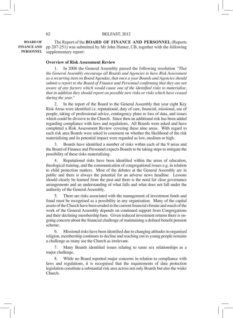The Report of the **BOARD OF FINANCE AND PERSONNEL** (Reports pp 207-251) was submitted by Mr John Hunter, CB, together with the following supplementary report: **BOARD OF FINANCE AND PERSONNEL**

# **Overview of Risk Assessment Review**

1. In 2006 the General Assembly passed the following resolution *"That the General Assembly encourage all Boards and Agencies to have Risk Assessment as a recurring item on Board Agendas, that once a year Boards and Agenciesshould submit a report to the Board of Finance and Personnel confirming that they are not aware of any factors which would cause one of the identified risks to materialise, that in addition they should report on possible new risks or risks which have ceased during the year."*

2. In the report of the Board to the General Assembly that year eight Key Risk Areas were identified i.e. reputational, duty of care, financial, missional, use of people, taking of professional advice, contingency plans re loss of data, and issues which could be divisive to the Church. Since then an additional risk has been added regarding compliance with laws and regulations. All Boards were asked and have completed a Risk Assessment Review covering these nine areas. With regard to each risk area Boards were asked to comment on whether the likelihood of the risk materialising and its potential impact were regarded as low, medium or high.

Boards have identified a number of risks within each of the 9 areas and the Board of Finance and Personnel expects Boards to be taking steps to mitigate the possibility of these risks materialising.

4. Reputational risks have been identified within the areas of education, theological training, and the communication of congregational issues e.g. in relation to child protection matters. Most of the debates at the General Assembly are in public and there is always the potential for an adverse news headline. Lessons should clearly be learned from the past and there is the need for clear governance arrangements and an understanding of what falls and what does not fall under the authority of the General Assembly.

5. There are risks associated with the management of investment funds and fraud must be recognised as a possibility in any organisation. Many of the capital assets of the Church have been eroded in the current financial climate and much of the work of the General Assembly depends on continued support from Congregations and their declining membership base. Given reduced investment returns there is ongoing concern about the financial challenge of maintaining a defined benefit pension scheme.

6. Missional risks have been identified due to changing attitudesto organised religion, membership continues to decline and reaching out to young people remains a challenge as many see the Church as irrelevant.

7. Many Boards identified issues relating to same sex relationships as a major challenge.

8. While no Board reported major concerns in relation to compliance with laws and regulations, it is recognised that the requirements of data protection legislation constitute a substantial risk area across not only Boards but also the wider Church.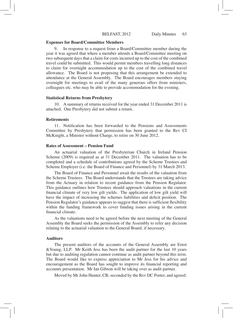#### **Expenses for Board/Committee Members**

9. In response to a request from a Board/Committee member during the year it was agreed that where a member attends a Board/Committee meeting on two subsequent days that a claim for costs incurred up to the cost of the combined travel could be submitted. This would permit members travelling long distances to claim for overnight accommodation up to the cost of the combined travel allowance. The Board is not proposing that this arrangement be extended to attendance at the General Assembly. The Board encourages members staying overnight for meetings to avail of the many generous offers from ministers, colleagues etc. who may be able to provide accommodation for the evening.

### **Statistical Returns from Presbytery**

10. A summary of returns received for the year ended 31 December 2011 is attached. One Presbytery did not submit a return.

#### **Retirements**

11. Notification has been forwarded to the Pensions and Assessments Committee by Presbytery that permission has been granted to the Rev CI McKnight, a Minister without Charge, to retire on 30 June 2012.

#### **Rates of Assessment – Pension Fund**

An actuarial valuation of the Presbyterian Church in Ireland Pension Scheme (2009) is required as at 31 December 2011. The valuation has to be completed and a schedule of contributions agreed by the Scheme Trustees and Scheme Employer (i.e. the Board of Finance and Personnel) by 31 March 2013.

The Board of Finance and Personnel await the results of the valuation from the Scheme Trustees. The Board understands that the Trustees are taking advice from the Actuary in relation to recent guidance from the Pension Regulator. This guidance outlines how Trustees should approach valuations in the current financial climate of very low gilt yields. The application of low gilt yield will have the impact of increasing the schemes liabilities and deficit position. The Pension Regulator's guidance appears to suggest that there is sufficient flexibility within the funding framework to cover funding issues arising in the current financial climate.

As the valuations need to be agreed before the next meeting of the General Assembly the Board seeks the permission of the Assembly to refer any decision relating to the actuarial valuation to the General Board, if necessary.

### **Auditors**

The present auditors of the accounts of the General Assembly are Ernst &Young, LLP. Mr Keith Jess has been the audit partner for the last 10 years but due to auditing regulation cannot continue as audit partner beyond this term. The Board would like to express appreciation to Mr Jess for his advice and encouragement as the Board has sought to improve its financial reporting and accounts presentation. Mr Ian Gibson will be taking over as audit partner.

Moved by Mr John Hunter, CB, seconded by the Rev DC Porter, and agreed: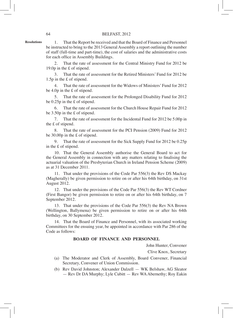**Resolutions**

1. That the Report be received and that the Board of Finance and Personnel be instructed to bring to the 2013 General Assembly a report outlining the number of staff (full-time and part-time), the cost of salaries and the administrative costs for each office in Assembly Buildings.

2. That the rate of assessment for the Central Ministry Fund for 2012 be 19.0p in the £ of stipend.

3. That the rate of assessment for the Retired Ministers' Fund for 2012 be 1.5p in the £ of stipend.

4. That the rate of assessment for the Widows of Ministers' Fund for 2012 be 4.0p in the £ of stipend.

5. That the rate of assessment for the Prolonged Disability Fund for 2012 be 0.25p in the £ of stipend.

6. That the rate of assessment for the Church House Repair Fund for 2012 be 3.50p in the £ of stipend.

7. That the rate of assessment for the Incidental Fund for 2012 be 5.00p in the £ of stipend.

8. That the rate of assessment for the PCI Pension (2009) Fund for 2012 be 30.00p in the £ of stipend.

9. That the rate of assessment for the Sick Supply Fund for 2012 be 0.25p in the £ of stipend.

10. That the General Assembly authorise the General Board to act for the General Assembly in connection with any matters relating to finalising the actuarial valuation of the Presbyterian Church in Ireland Pension Scheme (2009) as at 31 December 2011.

11. That under the provisions of the Code Par 556(3) the Rev DS Mackay (Magherally) be given permission to retire on or after his 64th birthday, on 31st August 2012.

12. That under the provisions of the Code Par 556(3) the Rev WT Cordner (First Bangor) be given permission to retire on or after his 64th birthday, on 7 September 2012.

13. That under the provisions of the Code Par 556(3) the Rev NA Brown (Wellington, Ballymena) be given permission to retire on or after his 64th birthday, on 30 September 2012.

14. That the Board of Finance and Personnel, with its associated working Committees for the ensuing year, be appointed in accordance with Par 286 of the Code as follows:

# **BOARD OF FINANCE AND PERSONNEL**

John Hunter, Convener

Clive Knox, Secretary

- (a) The Moderator and Clerk of Assembly, Board Convener, Financial Secretary, Convener of Union Commission.
- (b) Rev David Johnston; Alexander Dalzell WK Belshaw, AG Sleator — Rev Dr DA Murphy; Lyle Cubitt — Rev WA Abernethy; Roy Eakin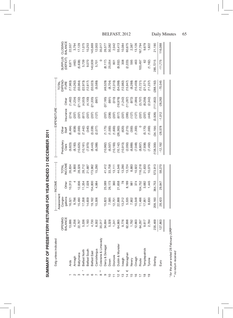|                         | Estg unless indicated       |                                               |                                           |                             | $\begin{array}{c} \begin{array}{c} \begin{array}{c} \begin{array}{c} \end{array} \\ \begin{array}{c} \end{array} \\ \begin{array}{c} \end{array} \end{array} \end{array} \end{array}$ |                                                                                                 |                                                           | ------ EXPENDITURE -                      |                                                                             |                                                          |                             |                                                                                                                                                                                                                                                                                           |
|-------------------------|-----------------------------|-----------------------------------------------|-------------------------------------------|-----------------------------|---------------------------------------------------------------------------------------------------------------------------------------------------------------------------------------|-------------------------------------------------------------------------------------------------|-----------------------------------------------------------|-------------------------------------------|-----------------------------------------------------------------------------|----------------------------------------------------------|-----------------------------|-------------------------------------------------------------------------------------------------------------------------------------------------------------------------------------------------------------------------------------------------------------------------------------------|
|                         |                             | <b>DPENING</b><br>BALANCE                     | Assessmen<br>Congre-<br>gations<br>16,521 |                             | TOTAL<br>NCOME                                                                                                                                                                        | <sup>P</sup> resbytery<br>Clerk                                                                 | Other<br>Staff                                            | nsurance                                  | Other                                                                       |                                                          | <b>JURPLUS</b><br>(DEFICIT) | CLOSING<br>BALANCE                                                                                                                                                                                                                                                                        |
|                         | Ards                        | 13,686                                        |                                           | Other<br>10,313             | 26,834                                                                                                                                                                                |                                                                                                 | (6,464)                                                   | (214)                                     |                                                                             |                                                          | 8,871                       | 22,557                                                                                                                                                                                                                                                                                    |
|                         | Armagh                      |                                               | 9,796                                     | $\overline{a}$              | 9,800                                                                                                                                                                                 |                                                                                                 |                                                           |                                           |                                                                             |                                                          |                             |                                                                                                                                                                                                                                                                                           |
|                         | Ballymena                   | 4,256<br>22,767                               | 15,490                                    |                             |                                                                                                                                                                                       |                                                                                                 |                                                           |                                           |                                                                             |                                                          | $(462)$<br>$(5,638)$        |                                                                                                                                                                                                                                                                                           |
|                         | Belfast North               | 5,336                                         | 17,358                                    |                             |                                                                                                                                                                                       |                                                                                                 |                                                           |                                           |                                                                             |                                                          |                             |                                                                                                                                                                                                                                                                                           |
|                         | Belfast South               | 1,183                                         |                                           | $12,836$<br>11,354<br>7,028 | 28,326<br>28,712<br>21,687<br>173,962                                                                                                                                                 | $\begin{array}{c} (9,823) \\ (8,183) \\ (10,625) \\ (10,161) \\ (7,970) \\ (8,443) \end{array}$ | (638)<br>(2,000)<br>(7,442)<br>(3,008)<br>(2,077)         | (2017)<br>(2017)<br>(2017)                | $(1,462)$<br>$(1,234)$<br>$(1,132)$<br>$(4,553)$<br>$(4,100)$<br>$(2,1335)$ |                                                          | 5,739<br>9,070<br>40,939    |                                                                                                                                                                                                                                                                                           |
| $\mathbf{\circ}$        | Belfast East                |                                               | 14,659<br>19,162                          | 54,800                      |                                                                                                                                                                                       |                                                                                                 |                                                           |                                           |                                                                             |                                                          |                             |                                                                                                                                                                                                                                                                                           |
| $\sim$ $\infty$         | Carrickfergus               | 4,730<br>6,302                                | 10,306                                    | 4,984                       | 15,290                                                                                                                                                                                | (6,388)                                                                                         |                                                           | (127)                                     | (997)                                                                       |                                                          | 5,701                       | $\begin{array}{r} \tiny{0.776} \\ 0.71016 \\ 0.71016 \\ 0.71016 \\ 0.71016 \\ 0.71016 \\ 0.71016 \\ 0.71016 \\ 0.71016 \\ 0.71016 \\ 0.71016 \\ 0.71016 \\ 0.71016 \\ 0.71016 \\ 0.71016 \\ 0.71016 \\ 0.71016 \\ 0.71016 \\ 0.71016 \\ 0.71016 \\ 0.71016 \\ 0.71016 \\ 0.71016 \\ 0.71$ |
|                         | Coleraine & Limavady        |                                               |                                           |                             |                                                                                                                                                                                       |                                                                                                 |                                                           |                                           |                                                                             |                                                          |                             |                                                                                                                                                                                                                                                                                           |
| ၜ                       | Derry & Donegal             | 35,017<br>34,694<br>5,328                     | 15,823                                    |                             |                                                                                                                                                                                       |                                                                                                 |                                                           | (207)                                     | (37, 185)                                                                   |                                                          |                             |                                                                                                                                                                                                                                                                                           |
| $\overline{C}$          | Down                        |                                               | 7,585                                     | 25,589<br>26,173            | 41,412<br>33,758                                                                                                                                                                      | (6,507)                                                                                         | $(1,175)$<br>$(1,000)$<br>$(1,600)$                       |                                           |                                                                             | 49,529)<br>(8,704)<br>(12,310)                           | $(8, 117)$<br>25,054        |                                                                                                                                                                                                                                                                                           |
|                         | Dromore<br>Dublin & Munster | 1,241                                         | 12,751                                    | 360                         | 13, 111                                                                                                                                                                               | (10, 193)                                                                                       |                                                           | $(206)$<br>$(207)$                        | 010)<br>(166)                                                               |                                                          | $\overline{5}$              |                                                                                                                                                                                                                                                                                           |
| $\frac{1}{2}$           |                             |                                               |                                           | 21,658                      |                                                                                                                                                                                       |                                                                                                 | 26,363)                                                   |                                           |                                                                             |                                                          | (9,552)                     |                                                                                                                                                                                                                                                                                           |
| ဗ္                      | Iveagh                      |                                               |                                           | $\frac{8}{10}$              |                                                                                                                                                                                       | $(10, 142)$<br>$(10, 913)$                                                                      |                                                           |                                           |                                                                             |                                                          | 308                         |                                                                                                                                                                                                                                                                                           |
| $\frac{4}{3}$           | Monaghan                    | 64,965<br>9,776<br>62,898<br>12,663<br>12,663 | 22,888<br>13,212<br>15,535<br>7,902       | 8,189                       | $44,546$<br>$13,290$<br>$724$<br>$83$<br>$8,83$<br>$8,83$                                                                                                                             | $(2,050)$<br>$(6,889)$<br>$(7,048)$<br>$(8,807)$                                                | $(620)$<br>$(2,215)$<br>$(300)$<br>$(1,300)$<br>$(1,300)$ | (617)<br>(205)<br>(306)<br>(207)<br>(207) | $(16,976)$<br>$(1,242)$<br>$(1,287)$                                        | (54,098)<br>(12,982)<br>(15,947)<br>(10,459)<br>(10,459) | (2,223)                     |                                                                                                                                                                                                                                                                                           |
| 15                      |                             |                                               |                                           | $\overline{98}$             |                                                                                                                                                                                       |                                                                                                 |                                                           |                                           |                                                                             |                                                          | 595                         |                                                                                                                                                                                                                                                                                           |
| $\frac{6}{1}$           | Newry<br>Omagh<br>Route     |                                               | 10,548                                    | 374                         | 10,922                                                                                                                                                                                |                                                                                                 |                                                           |                                           | $(972)$<br>(1,984)                                                          |                                                          | 463                         |                                                                                                                                                                                                                                                                                           |
| $\overline{1}$          |                             | 64,297                                        | 11,466                                    | 04,752                      | 116,218                                                                                                                                                                               |                                                                                                 |                                                           |                                           | (3,707)                                                                     | (12,721)<br>(21,571)                                     | 103,497                     | 67,794                                                                                                                                                                                                                                                                                    |
| $\frac{\infty}{\infty}$ | <b>Templepatrick</b>        | 9,617                                         | 17,951                                    | 3,682                       | 21,633                                                                                                                                                                                | (7,938)                                                                                         | (5, 170)                                                  |                                           | (8, 256)                                                                    |                                                          |                             | 9,679                                                                                                                                                                                                                                                                                     |
|                         | Tyrone                      | 2,784                                         | 8,630                                     | 1,445                       | 10,075                                                                                                                                                                                | (7,450)                                                                                         | (1,000)                                                   | (445)                                     | (2, 342)                                                                    | 11,237                                                   | (1, 162)                    | 1,622                                                                                                                                                                                                                                                                                     |
|                         | Sterling                    | 235,469                                       | 209,160                                   | 864,753                     | 573,913                                                                                                                                                                               | 138,300)                                                                                        | (34, 164)                                                 | (3,926)                                   | (111, 802)                                                                  | 288, 192)                                                | 285,7215                    | 21,190                                                                                                                                                                                                                                                                                    |
|                         | Euro                        | 127,863                                       | 28,423                                    | 29,847                      | 58,270                                                                                                                                                                                | $-12,192$                                                                                       | $-28,578$                                                 | $-1,012$                                  | $-28,263$                                                                   | $-70,045$                                                | $-11,775$                   | 116,088                                                                                                                                                                                                                                                                                   |
|                         |                             |                                               |                                           |                             |                                                                                                                                                                                       |                                                                                                 |                                                           |                                           |                                                                             |                                                          |                             |                                                                                                                                                                                                                                                                                           |

SUMMARY OF PRESBYTERY RETURNS FOR YEAR ENDED 31 DECEMBER 2011

SUMMARY OF PRESBYTERY RETURNS FOR YEAR ENDED 31 DECEMBER 2011

\* for the year ended 28 February 2012 *\* for the year ended 28 February 2012* \*\* no return received *\*\* no return received*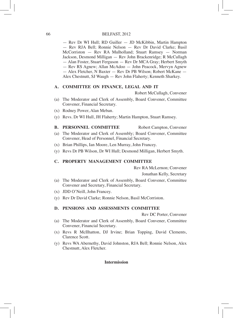— Rev Dr WI Hull; RD Guiller — JD McKibbin, Martin Hampton — Rev RJA Bell; Ronnie Nelson — Rev Dr David Clarke; Basil McCorriston — Rev RA Mulholland; Stuart Ramsey — Norman Jackson, Desmond Milligan — Rev John Brackenridge; R McCullagh — Alan Foster, Stuart Ferguson — Rev Dr MCA Gray; Herbert Smyth — Rev RS Agnew; Allan McAdoo — John Peacock, Mervyn Agnew — Alex Fletcher, N Baxter — Rev Dr PB Wilson; Robert McKane — Alex Chestnutt, SJ Waugh — Rev John Flaherty; Kenneth Sharkey.

# **A. COMMITTEE ON FINANCE, LEGAL AND IT**

Robert McCullagh, Convener

- (a) The Moderator and Clerk of Assembly, Board Convener, Committee Convener, Financial Secretary.
- (x) Rodney Power, Alan Meban.
- (y) Revs. Dr WI Hull, JH Flaherty; Martin Hampton, Stuart Ramsey.

**B. PERSONNEL COMMITTEE** Robert Campton, Convener (a) The Moderator and Clerk of Assembly; Board Convener, Committee Convener, Head of Personnel, Financial Secretary.

- (x) Brian Phillips, Ian Moore, Len Murray, John Francey.
- (y) Revs Dr PB Wilson, Dr WI Hull; Desmond Milligan, Herbert Smyth.

# **C. PROPERTY MANAGEMENT COMMITTEE**

Rev RA McLernon; Convener

Jonathan Kelly, Secretary

- (a) The Moderator and Clerk of Assembly, Board Convener, Committee Convener and Secretary, Financial Secretary.
- (x) JDD O'Neill, John Francey.
- (y) Rev Dr David Clarke; Ronnie Nelson, Basil McCorriston.

# **D. PENSIONS AND ASSESSMENTS COMMITTEE**

Rev DC Porter, Convener

- (a) The Moderator and Clerk of Assembly, Board Convener, Committee Convener, Financial Secretary.
- (x) Revs R McIlhatton, DJ Irvine; Brian Topping, David Clements, Clarence Scott.
- (y) Revs WA Abernethy, David Johnston, RJA Bell; Ronnie Nelson, Alex Chestnutt, Alex Fletcher.

# **Intermission**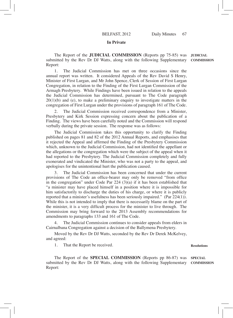#### **In Private**

The Report of the **JUDICIAL COMMISSION** (Reports pp 75-85) was **JUDICIAL**  submitted by the Rev Dr DJ Watts, along with the following Supplementary Report: **COMMISSION**

1. The Judicial Commission has met on three occasions since the annual report was written. It considered Appeals of the Rev David S Henry, Minister of First Lurgan, and Mr John Spence, Clerk of Session of First Lurgan Congregation, in relation to the Finding of the First Lurgan Commission of the Armagh Presbytery. While Findings have been issued in relation to the appeals the Judicial Commission has determined, pursuant to The Code paragraph  $20(1)(b)$  and (e), to make a preliminary enquiry to investigate matters in the congregation of First Lurgan under the provisions of paragraph 161 of The Code.

2. The Judicial Commission received correspondence from a Minister, Presbytery and Kirk Session expressing concern about the publication of a Finding. The views have been carefully noted and the Commission will respond verbally during the private session. The response was as follows:

The Judicial Commission takes this opportunity to clarify the Finding published on pages 81 and 82 of the 2012 Annual Reports, and emphasises that it rejected the Appeal and affirmed the Finding of the Presbytery Commission which, unknown to the Judicial Commission, had not identified the appellant or the allegations or the congregation which were the subject of the appeal when it had reported to the Presbytery. The Judicial Commission completely and fully exonerated and vindicated the Minister, who was not a party to the appeal, and apologises for the unintentional hurt the publication caused.

3. The Judicial Commission has been concerned that under the current provisions of The Code an office-bearer may only be removed "from office in the congregation" under Code Par 224 (3)(a) if it has been established that "a minister may have placed himself in a position where it is impossible for him satisfactorily to discharge the duties of his charge, or where it is publicly reported that a minister's usefulness has been seriously impaired." (Par 224(1)). While this is not intended to imply that there is necessarily blame on the part of the minister, it is a very difficult process for the minister to live through. The Commission may bring forward to the 2013 Assembly recommendations for amendments to paragraphs 133 and 161 of The Code.

4. The Judicial Commission continues to consider appeals from elders in Cairnalbana Congregation against a decision of the Ballymena Presbytery.

Moved by the Rev Dr DJ Watts, seconded by the Rev Dr Derek McKelvey, and agreed:

1. That the Report be received.

The Report of the **SPECIAL COMMISSION** (Reports pp 86-87) was **SPECIAL**  submitted by the Rev Dr DJ Watts, along with the following Supplementary **COMMISSION**Report:

**Resolutions**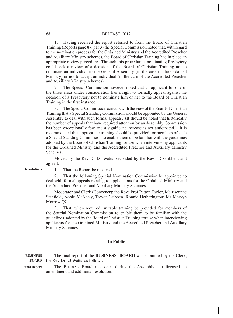1. Having received the report referred to from the Board of Christian Training (Reports page 87, par 3) the Special Commission noted that, with regard to the nomination process for the Ordained Ministry and the Accredited Preacher and Auxiliary Ministry schemes, the Board of Christian Training had in place an appropriate review procedure. Through this procedure a nominating Presbytery could seek a review of a decision of the Board of Christian Training not to nominate an individual to the General Assembly (in the case of the Ordained Ministry) or not to accept an individual (in the case of the Accredited Preacher and Auxiliary Ministry schemes).

2. The Special Commission however noted that an applicant for one of the three areas under consideration has a right to formally appeal against the decision of a Presbytery not to nominate him or her to the Board of Christian Training in the first instance.

3. The Special Commission concurs with the view of the Board of Christian Training that a Special Standing Commission should be appointed by the General Assembly to deal with such formal appeals. (It should be noted that historically the number of appeals that have required attention by an Assembly Commission has been exceptionally few and a significant increase is not anticipated.) It is recommended that appropriate training should be provided for members of such a Special Standing Commission to enable them to be familiar with the guidelines adopted by the Board of Christian Training for use when interviewing applicants for the Ordained Ministry and the Accredited Preacher and Auxiliary Ministry Schemes.

Moved by the Rev Dr DJ Watts, seconded by the Rev TD Gribben, and agreed:

**Resolutions**

1. That the Report be received.

2. That the following Special Nomination Commission be appointed to deal with formal appeals relating to applications for the Ordained Ministry and the Accredited Preacher and Auxiliary Ministry Schemes:

Moderator and Clerk (Convener); the Revs Prof Patton Taylor, Mairisennne Stanfield, Noble McNeely, Trevor Gribben, Ronnie Hetherington; Mr Mervyn Morrow QC.

3. That, when required, suitable training be provided for members of the Special Nomination Commission to enable them to be familiar with the guidelines, adopted by the Board of Christian Training for use when interviewing applicants for the Ordained Ministry and the Accredited Preacher and Auxiliary Ministry Schemes.

#### **In Public**

The final report of the **BUSINESS BOARD** was submitted by the Clerk, **BOARD** the Rev Dr DJ Watts, as follows: **BUSINESS** 

The Business Board met once during the Assembly. It licensed an amendment and additional resolution. **Final Report**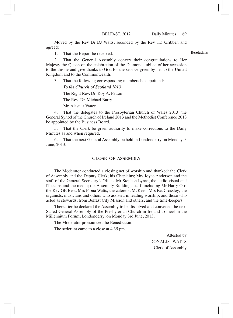Moved by the Rev Dr DJ Watts, seconded by the Rev TD Gribben and agreed:

1. That the Report be received.

2. That the General Assembly convey their congratulations to Her Majesty the Queen on the celebration of the Diamond Jubilee of her accession to the throne and give thanks to God for the service given by her to the United Kingdom and to the Commonwealth.

3. That the following corresponding members be appointed:

# *To the Church of Scotland 2013*

 The Right Rev. Dr. Roy A. Patton

 The Rev. Dr. Michael Barry

 Mr. Alastair Vance

4. That the delegates to the Presbyterian Church of Wales 2013, the General Synod of the Church of Ireland 2013 and the Methodist Conference 2013 be appointed by the Business Board.

5. That the Clerk be given authority to make corrections to the Daily Minutes as and when required.

That the next General Assembly be held in Londonderry on Monday, 3 June, 2013.

# **CLOSE OF ASSEMBLY**

The Moderator conducted a closing act of worship and thanked: the Clerk of Assembly and the Deputy Clerk; his Chaplains; Mrs Joyce Anderson and the staff of the General Secretary's Office; Mr Stephen Lynas, the audio visual and IT teams and the media; the Assembly Buildings staff, including Mr Harry Orr; the Rev GE Best, Mrs Fiona Watts; the caterers, McKees; Mrs Pat Crossley; the organists, musicians and others who assisted in leading worship; and those who acted as stewards, from Belfast City Mission and others, and the time-keepers.

Thereafter he declared the Assembly to be dissolved and convened the next Stated General Assembly of the Presbyterian Church in Ireland to meet in the Millennium Forum, Londonderry, on Monday 3rd June, 2013.

The Moderator pronounced the Benediction.

The sederunt came to a close at 4.35 pm.

Attested by DONALD J WATTS Clerk of Assembly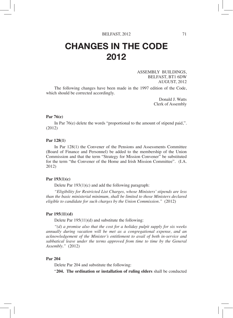# CHANGES IN THE CODE 2012

ASSEMBLY BUILDINGS, BELFAST, BT1 6DW AUGUST, 2012

The following changes have been made in the 1997 edition of the Code, which should be corrected accordingly.

> Donald J. Watts Clerk of Assembly

# **Par 76(e)**

In Par 76(e) delete the words "proportional to the amount of stipend paid,". (2012)

#### **Par 128(1)**

In Par 128(1) the Convener of the Pensions and Assessments Committee (Board of Finance and Personnel) be added to the membership of the Union Commission and that the term "Strategy for Mission Convener" be substituted for the term "the Convener of the Home and Irish Mission Committee". (I.A. 2012)

# **Par 193(1)(c)**

Delete Par 193(1)(c) and add the following paragraph:

*"Eligibility for Restricted List Charges, whose Ministers' stipends are less than the basic ministerial minimum, shall be limited to those Ministers declared eligible to candidate for such charges by the Union Commission."* (2012)

## **Par 195(11)(d)**

Delete Par 195(11)(d) and substitute the following:

*"(d) a promise also that the cost for a holiday pulpit supply for six weeks annually during vacation will be met as a congregational expense, and an acknowledgement of the Minister's entitlement to avail of both in-service and sabbatical leave under the terms approved from time to time by the General Assembly."* (2012)

#### **Par 204**

Delete Par 204 and substitute the following:

"**204. The ordination or installation of ruling elders** shall be conducted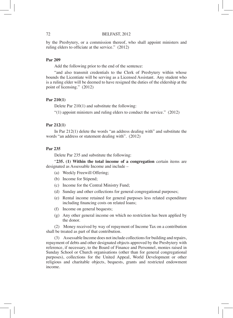by the Presbytery, or a commission thereof, who shall appoint ministers and ruling elders to officiate at the service." (2012)

# **Par 209**

Add the following prior to the end of the sentence:

"and also transmit credentials to the Clerk of Presbytery within whose bounds the Licentiate will be serving as a Licensed Assistant. Any student who is a ruling elder will be deemed to have resigned the duties of the eldership at the point of licensing." (2012)

# **Par 210(1)**

Delete Par 210(1) and substitute the following:

"(1) appoint ministers and ruling elders to conduct the service." (2012)

# **Par 212(1)**

In Par 212(1) delete the words "an address dealing with" and substitute the words "an address or statement dealing with". (2012)

# **Par 235**

Delete Par 235 and substitute the following:

"**235. (1) Within the total income of a congregation** certain items are designated as Assessable Income and include –

- (a) Weekly Freewill Offering;
- (b) Income for Stipend;
- (c) Income for the Central Ministry Fund;
- (d) Sunday and other collections for general congregational purposes;
- (e) Rental income retained for general purposes less related expenditure including financing costs on related loans;
- (f) Income on general bequests;
- (g) Any other general income on which no restriction has been applied by the donor.

(2) Money received by way of repayment of Income Tax on a contribution shall be treated as part of that contribution.

(3) Assessable Income does not include collections for building and repairs, repayment of debts and other designated objects approved by the Presbytery with reference, if necessary, to the Board of Finance and Personnel, monies raised in Sunday School or Church organisations (other than for general congregational purposes), collections for the United Appeal, World Development or other religious and charitable objects, bequests, grants and restricted endowment income.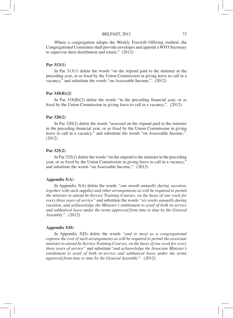#### BELFAST, 2012 73

Where a congregation adopts the Weekly Freewill Offering method, the Congregational Committee shall provide envelopes and appoint a WFO Secretary to supervise their distribution and return." (2012)

# **Par 313(1)**

In Par 313(1) delete the words "on the stipend paid to the minister in the preceding year, or as fixed by the Union Commission in giving leave to call in a vacancy," and substitute the words "on Assessable Income,". (2012)

#### **Par 318(B)(2)**

In Par  $318(B)(2)$  delete the words "in the preceding financial year, or as fixed by the Union Commission in giving leave to call in a vacancy,". (2012)

## **Par 320(2)**

In Par 320(2) delete the words "assessed on the stipend paid to the minister in the preceding financial year, or as fixed by the Union Commission in giving leave to call in a vacancy," and substitute the words "on Assessable Income,". (2012)

# **Par 325(2)**

In Par 325(2) delete the words "on the stipend to the minister in the preceding year, or as fixed by the Union Commission in giving leave to call in a vacancy," and substitute the words "on Assessable Income,". (2012)

# **Appendix 5(A)**

In Appendix 5(A) delete the words *"one month annually during vacation, together with such supplies and other arrangements as will be required to permit the minister to attend In-Service Training Courses, on the basis of one week for every three years of service"* and substitute the words *"six weeks annually during vacation, and acknowledge the Minister's entitlement to avail of both in-service and sabbatical leave under the terms approved from time to time by the General Assembly".* (2012)

# **Appendix 5(D)**

In Appendix 5(D) delete the words *"and to meet as a congregational expense the cost of such arrangements as will be required to permit the associate minister to attend In-Service Training Courses, on the basis of one week for every three years of service"* and substitute*"and acknowledge the Associate Minister's entitlement to avail of both in-service and sabbatical leave under the terms approved from time to time by the General Assembly".* (2012)